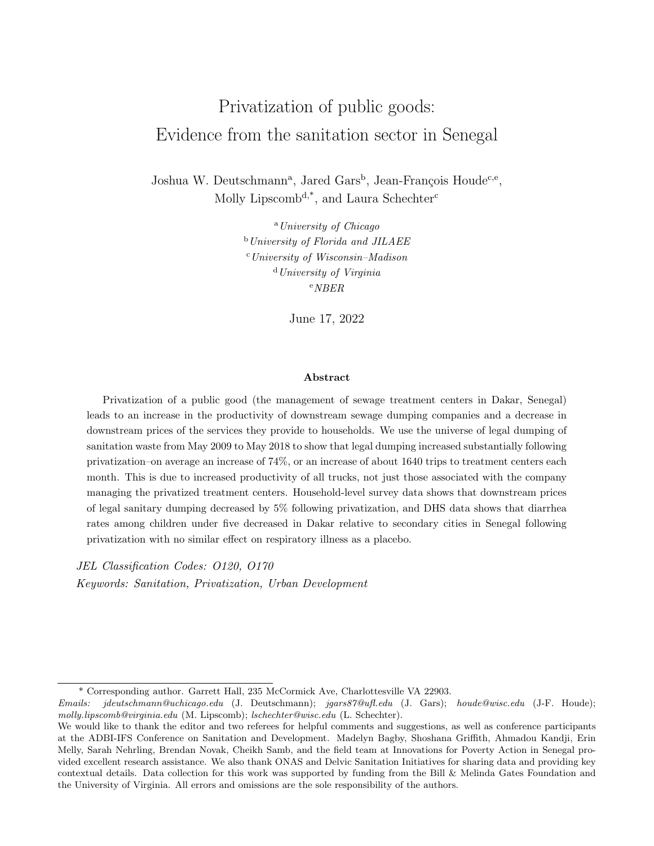## Privatization of public goods: Evidence from the sanitation sector in Senegal

Joshua W. Deutschmann<sup>a</sup>, Jared Gars<sup>b</sup>, Jean-François Houde<sup>c,e</sup>, Molly Lipscomb<sup>d,\*</sup>, and Laura Schechter<sup>c</sup>

> <sup>a</sup> University of Chicago **b** University of Florida and JILAEE  $c$ University of Wisconsin–Madison  $d$  University of Virginia  $e$ NBER

> > June 17, 2022

#### Abstract

Privatization of a public good (the management of sewage treatment centers in Dakar, Senegal) leads to an increase in the productivity of downstream sewage dumping companies and a decrease in downstream prices of the services they provide to households. We use the universe of legal dumping of sanitation waste from May 2009 to May 2018 to show that legal dumping increased substantially following privatization–on average an increase of 74%, or an increase of about 1640 trips to treatment centers each month. This is due to increased productivity of all trucks, not just those associated with the company managing the privatized treatment centers. Household-level survey data shows that downstream prices of legal sanitary dumping decreased by 5% following privatization, and DHS data shows that diarrhea rates among children under five decreased in Dakar relative to secondary cities in Senegal following privatization with no similar effect on respiratory illness as a placebo.

JEL Classification Codes: O120, O170 Keywords: Sanitation, Privatization, Urban Development

<sup>\*</sup> Corresponding author. Garrett Hall, 235 McCormick Ave, Charlottesville VA 22903.

Emails: jdeutschmann@uchicago.edu (J. Deutschmann); jgars87@ufl.edu (J. Gars); houde@wisc.edu (J-F. Houde); molly.lipscomb@virginia.edu (M. Lipscomb); lschechter@wisc.edu (L. Schechter).

We would like to thank the editor and two referees for helpful comments and suggestions, as well as conference participants at the ADBI-IFS Conference on Sanitation and Development. Madelyn Bagby, Shoshana Griffith, Ahmadou Kandji, Erin Melly, Sarah Nehrling, Brendan Novak, Cheikh Samb, and the field team at Innovations for Poverty Action in Senegal provided excellent research assistance. We also thank ONAS and Delvic Sanitation Initiatives for sharing data and providing key contextual details. Data collection for this work was supported by funding from the Bill & Melinda Gates Foundation and the University of Virginia. All errors and omissions are the sole responsibility of the authors.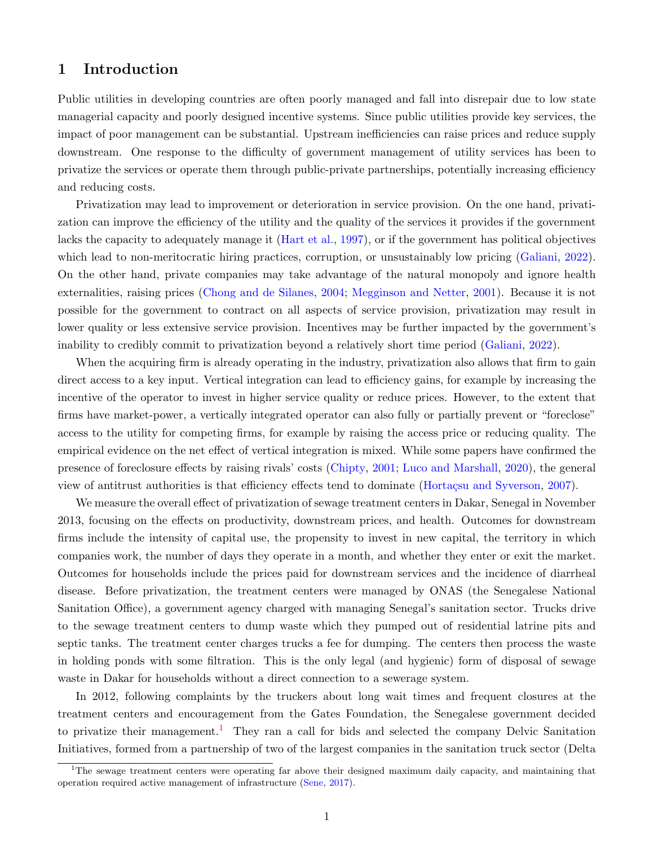## 1 Introduction

Public utilities in developing countries are often poorly managed and fall into disrepair due to low state managerial capacity and poorly designed incentive systems. Since public utilities provide key services, the impact of poor management can be substantial. Upstream inefficiencies can raise prices and reduce supply downstream. One response to the difficulty of government management of utility services has been to privatize the services or operate them through public-private partnerships, potentially increasing efficiency and reducing costs.

Privatization may lead to improvement or deterioration in service provision. On the one hand, privatization can improve the efficiency of the utility and the quality of the services it provides if the government lacks the capacity to adequately manage it [\(Hart et al.,](#page-30-0) [1997\)](#page-30-0), or if the government has political objectives which lead to non-meritocratic hiring practices, corruption, or unsustainably low pricing [\(Galiani,](#page-29-0) [2022\)](#page-29-0). On the other hand, private companies may take advantage of the natural monopoly and ignore health externalities, raising prices [\(Chong and de Silanes,](#page-29-1) [2004;](#page-29-1) [Megginson and Netter,](#page-31-0) [2001\)](#page-31-0). Because it is not possible for the government to contract on all aspects of service provision, privatization may result in lower quality or less extensive service provision. Incentives may be further impacted by the government's inability to credibly commit to privatization beyond a relatively short time period [\(Galiani,](#page-29-0) [2022\)](#page-29-0).

When the acquiring firm is already operating in the industry, privatization also allows that firm to gain direct access to a key input. Vertical integration can lead to efficiency gains, for example by increasing the incentive of the operator to invest in higher service quality or reduce prices. However, to the extent that firms have market-power, a vertically integrated operator can also fully or partially prevent or "foreclose" access to the utility for competing firms, for example by raising the access price or reducing quality. The empirical evidence on the net effect of vertical integration is mixed. While some papers have confirmed the presence of foreclosure effects by raising rivals' costs [\(Chipty,](#page-29-2) [2001;](#page-29-2) [Luco and Marshall,](#page-30-1) [2020\)](#page-30-1), the general view of antitrust authorities is that efficiency effects tend to dominate (Hortaçsu and Syverson, [2007\)](#page-30-2).

We measure the overall effect of privatization of sewage treatment centers in Dakar, Senegal in November 2013, focusing on the effects on productivity, downstream prices, and health. Outcomes for downstream firms include the intensity of capital use, the propensity to invest in new capital, the territory in which companies work, the number of days they operate in a month, and whether they enter or exit the market. Outcomes for households include the prices paid for downstream services and the incidence of diarrheal disease. Before privatization, the treatment centers were managed by ONAS (the Senegalese National Sanitation Office), a government agency charged with managing Senegal's sanitation sector. Trucks drive to the sewage treatment centers to dump waste which they pumped out of residential latrine pits and septic tanks. The treatment center charges trucks a fee for dumping. The centers then process the waste in holding ponds with some filtration. This is the only legal (and hygienic) form of disposal of sewage waste in Dakar for households without a direct connection to a sewerage system.

In 2012, following complaints by the truckers about long wait times and frequent closures at the treatment centers and encouragement from the Gates Foundation, the Senegalese government decided to privatize their management.<sup>[1](#page-1-0)</sup> They ran a call for bids and selected the company Delvic Sanitation Initiatives, formed from a partnership of two of the largest companies in the sanitation truck sector (Delta

<span id="page-1-0"></span><sup>&</sup>lt;sup>1</sup>The sewage treatment centers were operating far above their designed maximum daily capacity, and maintaining that operation required active management of infrastructure [\(Sene,](#page-31-1) [2017\)](#page-31-1).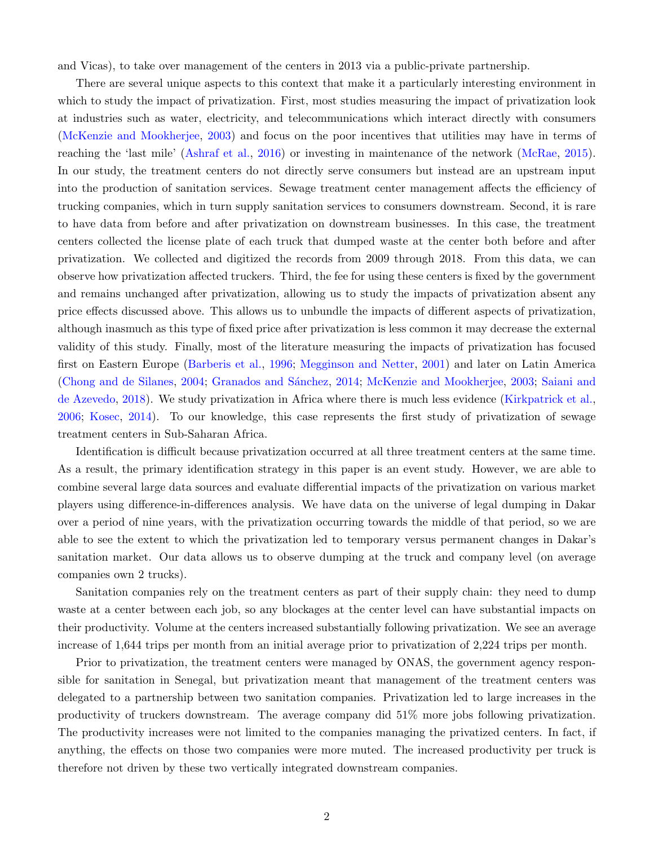and Vicas), to take over management of the centers in 2013 via a public-private partnership.

There are several unique aspects to this context that make it a particularly interesting environment in which to study the impact of privatization. First, most studies measuring the impact of privatization look at industries such as water, electricity, and telecommunications which interact directly with consumers [\(McKenzie and Mookherjee,](#page-30-3) [2003\)](#page-30-3) and focus on the poor incentives that utilities may have in terms of reaching the 'last mile' [\(Ashraf et al.,](#page-29-3) [2016\)](#page-29-3) or investing in maintenance of the network [\(McRae,](#page-30-4) [2015\)](#page-30-4). In our study, the treatment centers do not directly serve consumers but instead are an upstream input into the production of sanitation services. Sewage treatment center management affects the efficiency of trucking companies, which in turn supply sanitation services to consumers downstream. Second, it is rare to have data from before and after privatization on downstream businesses. In this case, the treatment centers collected the license plate of each truck that dumped waste at the center both before and after privatization. We collected and digitized the records from 2009 through 2018. From this data, we can observe how privatization affected truckers. Third, the fee for using these centers is fixed by the government and remains unchanged after privatization, allowing us to study the impacts of privatization absent any price effects discussed above. This allows us to unbundle the impacts of different aspects of privatization, although inasmuch as this type of fixed price after privatization is less common it may decrease the external validity of this study. Finally, most of the literature measuring the impacts of privatization has focused first on Eastern Europe [\(Barberis et al.,](#page-29-4) [1996;](#page-29-4) [Megginson and Netter,](#page-31-0) [2001\)](#page-31-0) and later on Latin America [\(Chong and de Silanes,](#page-29-1) [2004;](#page-29-1) Granados and Sánchez, [2014;](#page-30-5) [McKenzie and Mookherjee,](#page-30-3) [2003;](#page-30-3) [Saiani and](#page-31-2) [de Azevedo,](#page-31-2) [2018\)](#page-31-2). We study privatization in Africa where there is much less evidence [\(Kirkpatrick et al.,](#page-30-6) [2006;](#page-30-6) [Kosec,](#page-30-7) [2014\)](#page-30-7). To our knowledge, this case represents the first study of privatization of sewage treatment centers in Sub-Saharan Africa.

Identification is difficult because privatization occurred at all three treatment centers at the same time. As a result, the primary identification strategy in this paper is an event study. However, we are able to combine several large data sources and evaluate differential impacts of the privatization on various market players using difference-in-differences analysis. We have data on the universe of legal dumping in Dakar over a period of nine years, with the privatization occurring towards the middle of that period, so we are able to see the extent to which the privatization led to temporary versus permanent changes in Dakar's sanitation market. Our data allows us to observe dumping at the truck and company level (on average companies own 2 trucks).

Sanitation companies rely on the treatment centers as part of their supply chain: they need to dump waste at a center between each job, so any blockages at the center level can have substantial impacts on their productivity. Volume at the centers increased substantially following privatization. We see an average increase of 1,644 trips per month from an initial average prior to privatization of 2,224 trips per month.

Prior to privatization, the treatment centers were managed by ONAS, the government agency responsible for sanitation in Senegal, but privatization meant that management of the treatment centers was delegated to a partnership between two sanitation companies. Privatization led to large increases in the productivity of truckers downstream. The average company did 51% more jobs following privatization. The productivity increases were not limited to the companies managing the privatized centers. In fact, if anything, the effects on those two companies were more muted. The increased productivity per truck is therefore not driven by these two vertically integrated downstream companies.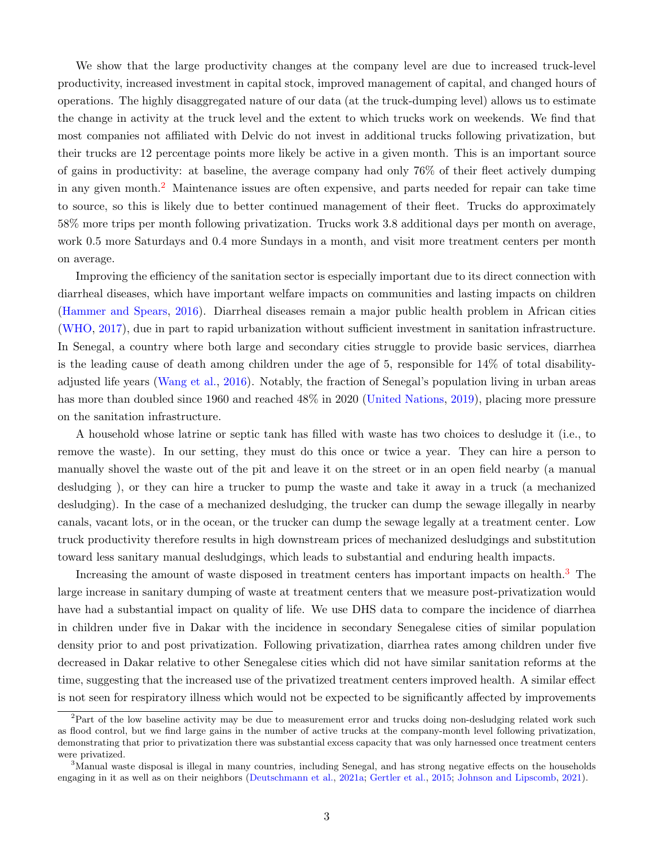We show that the large productivity changes at the company level are due to increased truck-level productivity, increased investment in capital stock, improved management of capital, and changed hours of operations. The highly disaggregated nature of our data (at the truck-dumping level) allows us to estimate the change in activity at the truck level and the extent to which trucks work on weekends. We find that most companies not affiliated with Delvic do not invest in additional trucks following privatization, but their trucks are 12 percentage points more likely be active in a given month. This is an important source of gains in productivity: at baseline, the average company had only 76% of their fleet actively dumping in any given month.[2](#page-3-0) Maintenance issues are often expensive, and parts needed for repair can take time to source, so this is likely due to better continued management of their fleet. Trucks do approximately 58% more trips per month following privatization. Trucks work 3.8 additional days per month on average, work 0.5 more Saturdays and 0.4 more Sundays in a month, and visit more treatment centers per month on average.

Improving the efficiency of the sanitation sector is especially important due to its direct connection with diarrheal diseases, which have important welfare impacts on communities and lasting impacts on children [\(Hammer and Spears,](#page-30-8) [2016\)](#page-30-8). Diarrheal diseases remain a major public health problem in African cities [\(WHO,](#page-31-3) [2017\)](#page-31-3), due in part to rapid urbanization without sufficient investment in sanitation infrastructure. In Senegal, a country where both large and secondary cities struggle to provide basic services, diarrhea is the leading cause of death among children under the age of 5, responsible for 14% of total disabilityadjusted life years [\(Wang et al.,](#page-31-4) [2016\)](#page-31-4). Notably, the fraction of Senegal's population living in urban areas has more than doubled since 1960 and reached 48% in 2020 [\(United Nations,](#page-31-5) [2019\)](#page-31-5), placing more pressure on the sanitation infrastructure.

A household whose latrine or septic tank has filled with waste has two choices to desludge it (i.e., to remove the waste). In our setting, they must do this once or twice a year. They can hire a person to manually shovel the waste out of the pit and leave it on the street or in an open field nearby (a manual desludging ), or they can hire a trucker to pump the waste and take it away in a truck (a mechanized desludging). In the case of a mechanized desludging, the trucker can dump the sewage illegally in nearby canals, vacant lots, or in the ocean, or the trucker can dump the sewage legally at a treatment center. Low truck productivity therefore results in high downstream prices of mechanized desludgings and substitution toward less sanitary manual desludgings, which leads to substantial and enduring health impacts.

Increasing the amount of waste disposed in treatment centers has important impacts on health.<sup>[3](#page-3-1)</sup> The large increase in sanitary dumping of waste at treatment centers that we measure post-privatization would have had a substantial impact on quality of life. We use DHS data to compare the incidence of diarrhea in children under five in Dakar with the incidence in secondary Senegalese cities of similar population density prior to and post privatization. Following privatization, diarrhea rates among children under five decreased in Dakar relative to other Senegalese cities which did not have similar sanitation reforms at the time, suggesting that the increased use of the privatized treatment centers improved health. A similar effect is not seen for respiratory illness which would not be expected to be significantly affected by improvements

<span id="page-3-0"></span><sup>&</sup>lt;sup>2</sup>Part of the low baseline activity may be due to measurement error and trucks doing non-desludging related work such as flood control, but we find large gains in the number of active trucks at the company-month level following privatization, demonstrating that prior to privatization there was substantial excess capacity that was only harnessed once treatment centers were privatized.

<span id="page-3-1"></span><sup>&</sup>lt;sup>3</sup>Manual waste disposal is illegal in many countries, including Senegal, and has strong negative effects on the households engaging in it as well as on their neighbors [\(Deutschmann et al.,](#page-29-5) [2021a;](#page-29-5) [Gertler et al.,](#page-29-6) [2015;](#page-29-6) [Johnson and Lipscomb,](#page-30-9) [2021\)](#page-30-9).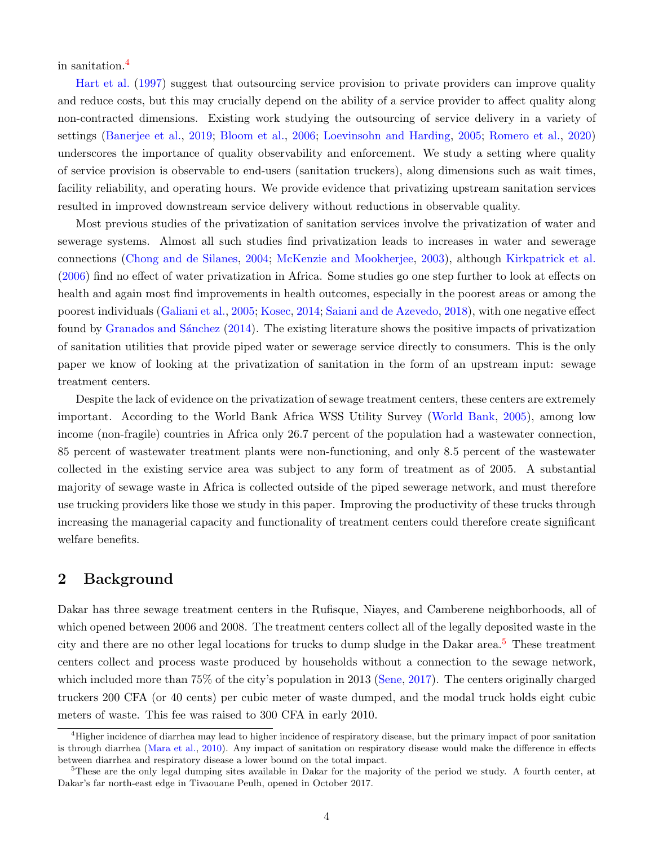in sanitation.[4](#page-4-0)

[Hart et al.](#page-30-0) [\(1997\)](#page-30-0) suggest that outsourcing service provision to private providers can improve quality and reduce costs, but this may crucially depend on the ability of a service provider to affect quality along non-contracted dimensions. Existing work studying the outsourcing of service delivery in a variety of settings [\(Banerjee et al.,](#page-29-7) [2019;](#page-29-7) [Bloom et al.,](#page-29-8) [2006;](#page-29-8) [Loevinsohn and Harding,](#page-30-10) [2005;](#page-30-10) [Romero et al.,](#page-31-6) [2020\)](#page-31-6) underscores the importance of quality observability and enforcement. We study a setting where quality of service provision is observable to end-users (sanitation truckers), along dimensions such as wait times, facility reliability, and operating hours. We provide evidence that privatizing upstream sanitation services resulted in improved downstream service delivery without reductions in observable quality.

Most previous studies of the privatization of sanitation services involve the privatization of water and sewerage systems. Almost all such studies find privatization leads to increases in water and sewerage connections [\(Chong and de Silanes,](#page-29-1) [2004;](#page-29-1) [McKenzie and Mookherjee,](#page-30-3) [2003\)](#page-30-3), although [Kirkpatrick et al.](#page-30-6) [\(2006\)](#page-30-6) find no effect of water privatization in Africa. Some studies go one step further to look at effects on health and again most find improvements in health outcomes, especially in the poorest areas or among the poorest individuals [\(Galiani et al.,](#page-29-9) [2005;](#page-29-9) [Kosec,](#page-30-7) [2014;](#page-30-7) [Saiani and de Azevedo,](#page-31-2) [2018\)](#page-31-2), with one negative effect found by Granados and Sánchez [\(2014\)](#page-30-5). The existing literature shows the positive impacts of privatization of sanitation utilities that provide piped water or sewerage service directly to consumers. This is the only paper we know of looking at the privatization of sanitation in the form of an upstream input: sewage treatment centers.

Despite the lack of evidence on the privatization of sewage treatment centers, these centers are extremely important. According to the World Bank Africa WSS Utility Survey [\(World Bank,](#page-31-7) [2005\)](#page-31-7), among low income (non-fragile) countries in Africa only 26.7 percent of the population had a wastewater connection, 85 percent of wastewater treatment plants were non-functioning, and only 8.5 percent of the wastewater collected in the existing service area was subject to any form of treatment as of 2005. A substantial majority of sewage waste in Africa is collected outside of the piped sewerage network, and must therefore use trucking providers like those we study in this paper. Improving the productivity of these trucks through increasing the managerial capacity and functionality of treatment centers could therefore create significant welfare benefits.

## 2 Background

Dakar has three sewage treatment centers in the Rufisque, Niayes, and Camberene neighborhoods, all of which opened between 2006 and 2008. The treatment centers collect all of the legally deposited waste in the city and there are no other legal locations for trucks to dump sludge in the Dakar area.<sup>[5](#page-4-1)</sup> These treatment centers collect and process waste produced by households without a connection to the sewage network, which included more than 75% of the city's population in 2013 [\(Sene,](#page-31-1) [2017\)](#page-31-1). The centers originally charged truckers 200 CFA (or 40 cents) per cubic meter of waste dumped, and the modal truck holds eight cubic meters of waste. This fee was raised to 300 CFA in early 2010.

<span id="page-4-0"></span><sup>&</sup>lt;sup>4</sup>Higher incidence of diarrhea may lead to higher incidence of respiratory disease, but the primary impact of poor sanitation is through diarrhea [\(Mara et al.,](#page-30-11) [2010\)](#page-30-11). Any impact of sanitation on respiratory disease would make the difference in effects between diarrhea and respiratory disease a lower bound on the total impact.

<span id="page-4-1"></span><sup>5</sup>These are the only legal dumping sites available in Dakar for the majority of the period we study. A fourth center, at Dakar's far north-east edge in Tivaouane Peulh, opened in October 2017.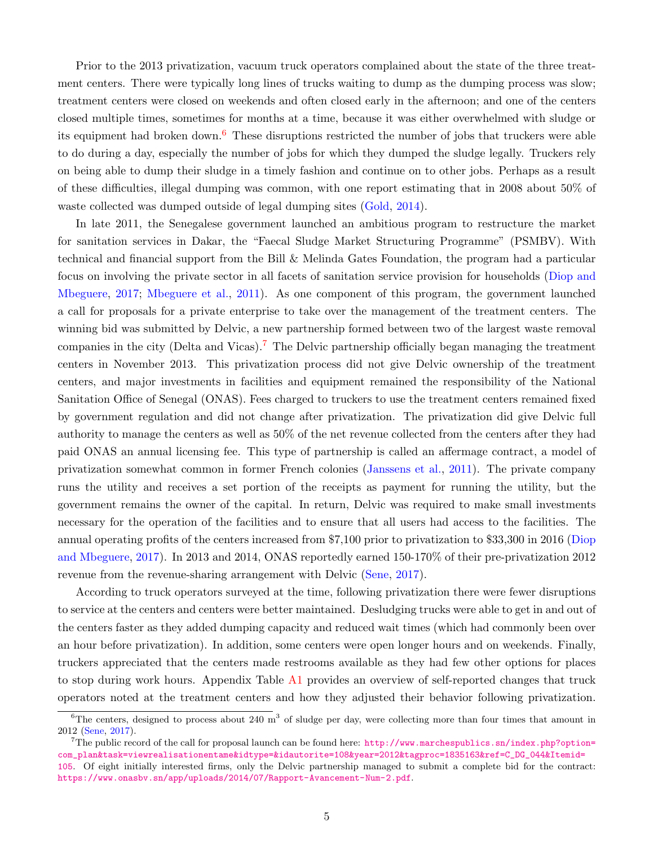Prior to the 2013 privatization, vacuum truck operators complained about the state of the three treatment centers. There were typically long lines of trucks waiting to dump as the dumping process was slow; treatment centers were closed on weekends and often closed early in the afternoon; and one of the centers closed multiple times, sometimes for months at a time, because it was either overwhelmed with sludge or its equipment had broken down.<sup>[6](#page-5-0)</sup> These disruptions restricted the number of jobs that truckers were able to do during a day, especially the number of jobs for which they dumped the sludge legally. Truckers rely on being able to dump their sludge in a timely fashion and continue on to other jobs. Perhaps as a result of these difficulties, illegal dumping was common, with one report estimating that in 2008 about 50% of waste collected was dumped outside of legal dumping sites [\(Gold,](#page-29-10) [2014\)](#page-29-10).

In late 2011, the Senegalese government launched an ambitious program to restructure the market for sanitation services in Dakar, the "Faecal Sludge Market Structuring Programme" (PSMBV). With technical and financial support from the Bill & Melinda Gates Foundation, the program had a particular focus on involving the private sector in all facets of sanitation service provision for households [\(Diop and](#page-29-11) [Mbeguere,](#page-29-11) [2017;](#page-29-11) [Mbeguere et al.,](#page-30-12) [2011\)](#page-30-12). As one component of this program, the government launched a call for proposals for a private enterprise to take over the management of the treatment centers. The winning bid was submitted by Delvic, a new partnership formed between two of the largest waste removal companies in the city (Delta and Vicas).[7](#page-5-1) The Delvic partnership officially began managing the treatment centers in November 2013. This privatization process did not give Delvic ownership of the treatment centers, and major investments in facilities and equipment remained the responsibility of the National Sanitation Office of Senegal (ONAS). Fees charged to truckers to use the treatment centers remained fixed by government regulation and did not change after privatization. The privatization did give Delvic full authority to manage the centers as well as 50% of the net revenue collected from the centers after they had paid ONAS an annual licensing fee. This type of partnership is called an affermage contract, a model of privatization somewhat common in former French colonies [\(Janssens et al.,](#page-30-13) [2011\)](#page-30-13). The private company runs the utility and receives a set portion of the receipts as payment for running the utility, but the government remains the owner of the capital. In return, Delvic was required to make small investments necessary for the operation of the facilities and to ensure that all users had access to the facilities. The annual operating profits of the centers increased from \$7,100 prior to privatization to \$33,300 in 2016 [\(Diop](#page-29-11) [and Mbeguere,](#page-29-11) [2017\)](#page-29-11). In 2013 and 2014, ONAS reportedly earned 150-170% of their pre-privatization 2012 revenue from the revenue-sharing arrangement with Delvic [\(Sene,](#page-31-1) [2017\)](#page-31-1).

According to truck operators surveyed at the time, following privatization there were fewer disruptions to service at the centers and centers were better maintained. Desludging trucks were able to get in and out of the centers faster as they added dumping capacity and reduced wait times (which had commonly been over an hour before privatization). In addition, some centers were open longer hours and on weekends. Finally, truckers appreciated that the centers made restrooms available as they had few other options for places to stop during work hours. Appendix Table [A1](#page-32-0) provides an overview of self-reported changes that truck operators noted at the treatment centers and how they adjusted their behavior following privatization.

<span id="page-5-0"></span> ${}^{6}$ The centers, designed to process about 240 m<sup>3</sup> of sludge per day, were collecting more than four times that amount in 2012 [\(Sene,](#page-31-1) [2017\)](#page-31-1).

<span id="page-5-1"></span><sup>&</sup>lt;sup>7</sup>The public record of the call for proposal launch can be found here: [http://www.marchespublics.sn/index.php?option=](http://www.marchespublics.sn/index.php?option=com_plan&task=viewrealisationentame&idtype=&idautorite=108&year=2012&tagproc=1835163&ref=C_DG_044&Itemid=105) [com\\_plan&task=viewrealisationentame&idtype=&idautorite=108&year=2012&tagproc=1835163&ref=C\\_DG\\_044&Itemid=](http://www.marchespublics.sn/index.php?option=com_plan&task=viewrealisationentame&idtype=&idautorite=108&year=2012&tagproc=1835163&ref=C_DG_044&Itemid=105) [105](http://www.marchespublics.sn/index.php?option=com_plan&task=viewrealisationentame&idtype=&idautorite=108&year=2012&tagproc=1835163&ref=C_DG_044&Itemid=105). Of eight initially interested firms, only the Delvic partnership managed to submit a complete bid for the contract: <https://www.onasbv.sn/app/uploads/2014/07/Rapport-Avancement-Num-2.pdf>.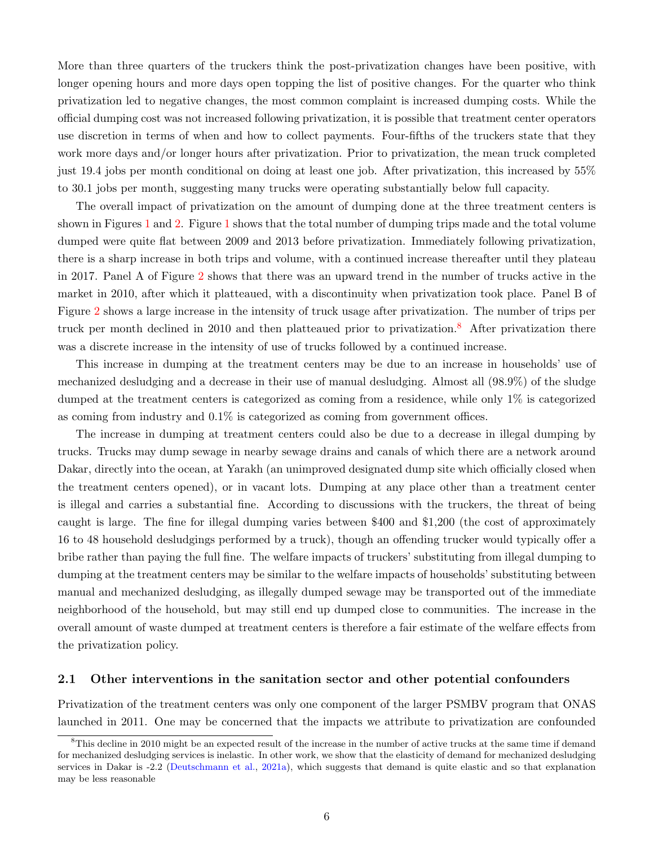More than three quarters of the truckers think the post-privatization changes have been positive, with longer opening hours and more days open topping the list of positive changes. For the quarter who think privatization led to negative changes, the most common complaint is increased dumping costs. While the official dumping cost was not increased following privatization, it is possible that treatment center operators use discretion in terms of when and how to collect payments. Four-fifths of the truckers state that they work more days and/or longer hours after privatization. Prior to privatization, the mean truck completed just 19.4 jobs per month conditional on doing at least one job. After privatization, this increased by 55% to 30.1 jobs per month, suggesting many trucks were operating substantially below full capacity.

The overall impact of privatization on the amount of dumping done at the three treatment centers is shown in Figures [1](#page-7-0) and [2.](#page-8-0) Figure [1](#page-7-0) shows that the total number of dumping trips made and the total volume dumped were quite flat between 2009 and 2013 before privatization. Immediately following privatization, there is a sharp increase in both trips and volume, with a continued increase thereafter until they plateau in 2017. Panel A of Figure [2](#page-8-0) shows that there was an upward trend in the number of trucks active in the market in 2010, after which it platteaued, with a discontinuity when privatization took place. Panel B of Figure [2](#page-8-0) shows a large increase in the intensity of truck usage after privatization. The number of trips per truck per month declined in 2010 and then platteaued prior to privatization.<sup>[8](#page-6-0)</sup> After privatization there was a discrete increase in the intensity of use of trucks followed by a continued increase.

This increase in dumping at the treatment centers may be due to an increase in households' use of mechanized desludging and a decrease in their use of manual desludging. Almost all (98.9%) of the sludge dumped at the treatment centers is categorized as coming from a residence, while only 1% is categorized as coming from industry and 0.1% is categorized as coming from government offices.

The increase in dumping at treatment centers could also be due to a decrease in illegal dumping by trucks. Trucks may dump sewage in nearby sewage drains and canals of which there are a network around Dakar, directly into the ocean, at Yarakh (an unimproved designated dump site which officially closed when the treatment centers opened), or in vacant lots. Dumping at any place other than a treatment center is illegal and carries a substantial fine. According to discussions with the truckers, the threat of being caught is large. The fine for illegal dumping varies between \$400 and \$1,200 (the cost of approximately 16 to 48 household desludgings performed by a truck), though an offending trucker would typically offer a bribe rather than paying the full fine. The welfare impacts of truckers' substituting from illegal dumping to dumping at the treatment centers may be similar to the welfare impacts of households' substituting between manual and mechanized desludging, as illegally dumped sewage may be transported out of the immediate neighborhood of the household, but may still end up dumped close to communities. The increase in the overall amount of waste dumped at treatment centers is therefore a fair estimate of the welfare effects from the privatization policy.

#### <span id="page-6-1"></span>2.1 Other interventions in the sanitation sector and other potential confounders

Privatization of the treatment centers was only one component of the larger PSMBV program that ONAS launched in 2011. One may be concerned that the impacts we attribute to privatization are confounded

<span id="page-6-0"></span><sup>&</sup>lt;sup>8</sup>This decline in 2010 might be an expected result of the increase in the number of active trucks at the same time if demand for mechanized desludging services is inelastic. In other work, we show that the elasticity of demand for mechanized desludging services in Dakar is -2.2 [\(Deutschmann et al.,](#page-29-5) [2021a\)](#page-29-5), which suggests that demand is quite elastic and so that explanation may be less reasonable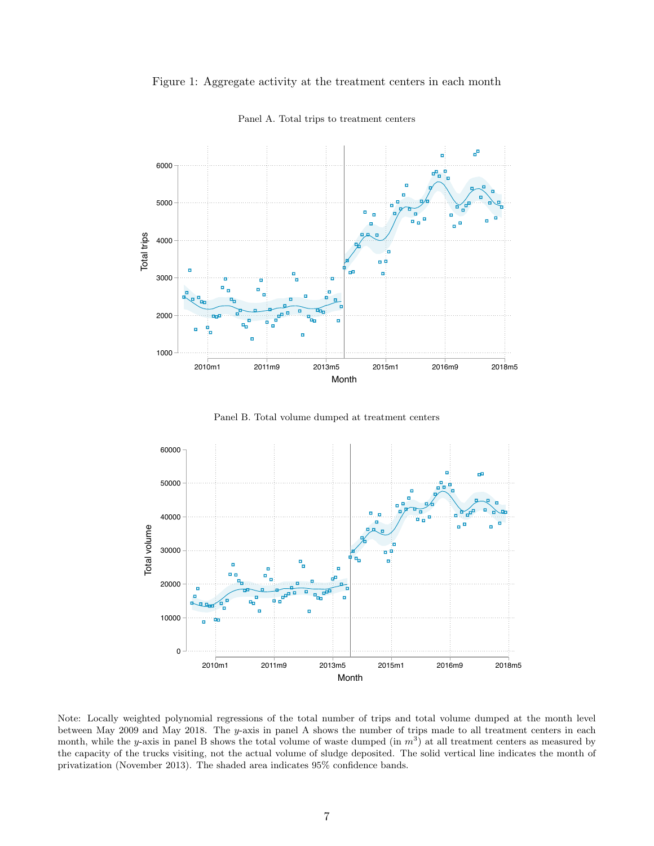<span id="page-7-0"></span>



Panel A. Total trips to treatment centers

Panel B. Total volume dumped at treatment centers



Note: Locally weighted polynomial regressions of the total number of trips and total volume dumped at the month level between May 2009 and May 2018. The y-axis in panel A shows the number of trips made to all treatment centers in each month, while the y-axis in panel B shows the total volume of waste dumped (in  $m<sup>3</sup>$ ) at all treatment centers as measured by the capacity of the trucks visiting, not the actual volume of sludge deposited. The solid vertical line indicates the month of privatization (November 2013). The shaded area indicates 95% confidence bands.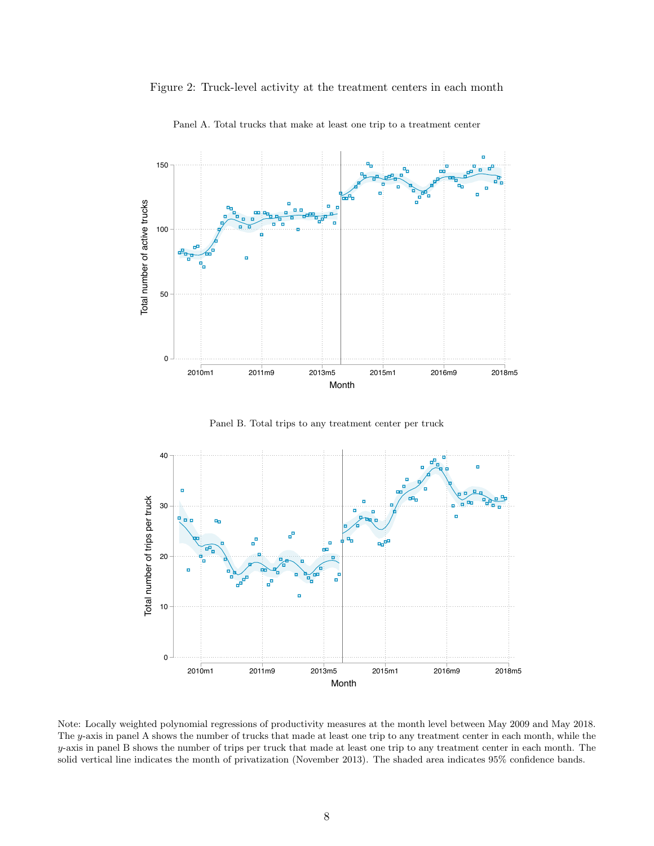<span id="page-8-0"></span>



Panel A. Total trucks that make at least one trip to a treatment center

Panel B. Total trips to any treatment center per truck



Note: Locally weighted polynomial regressions of productivity measures at the month level between May 2009 and May 2018. The y-axis in panel A shows the number of trucks that made at least one trip to any treatment center in each month, while the  $y$ -axis in panel B shows the number of trips per truck that made at least one trip to any treatment center in each month. The solid vertical line indicates the month of privatization (November 2013). The shaded area indicates 95% confidence bands.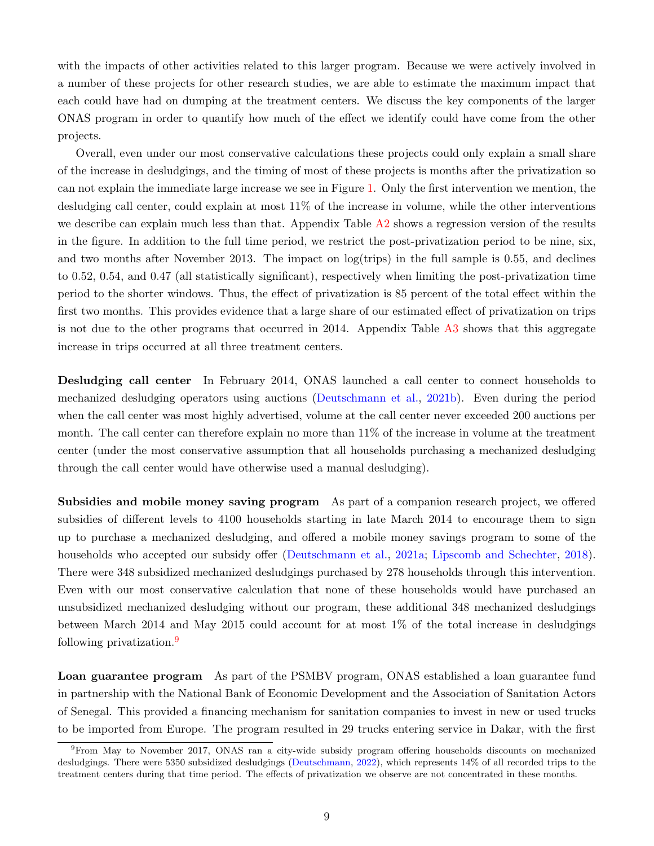with the impacts of other activities related to this larger program. Because we were actively involved in a number of these projects for other research studies, we are able to estimate the maximum impact that each could have had on dumping at the treatment centers. We discuss the key components of the larger ONAS program in order to quantify how much of the effect we identify could have come from the other projects.

Overall, even under our most conservative calculations these projects could only explain a small share of the increase in desludgings, and the timing of most of these projects is months after the privatization so can not explain the immediate large increase we see in Figure [1.](#page-7-0) Only the first intervention we mention, the desludging call center, could explain at most 11% of the increase in volume, while the other interventions we describe can explain much less than that. Appendix Table [A2](#page-33-0) shows a regression version of the results in the figure. In addition to the full time period, we restrict the post-privatization period to be nine, six, and two months after November 2013. The impact on log(trips) in the full sample is 0.55, and declines to 0.52, 0.54, and 0.47 (all statistically significant), respectively when limiting the post-privatization time period to the shorter windows. Thus, the effect of privatization is 85 percent of the total effect within the first two months. This provides evidence that a large share of our estimated effect of privatization on trips is not due to the other programs that occurred in 2014. Appendix Table [A3](#page-33-1) shows that this aggregate increase in trips occurred at all three treatment centers.

Desludging call center In February 2014, ONAS launched a call center to connect households to mechanized desludging operators using auctions [\(Deutschmann et al.,](#page-29-12) [2021b\)](#page-29-12). Even during the period when the call center was most highly advertised, volume at the call center never exceeded 200 auctions per month. The call center can therefore explain no more than 11% of the increase in volume at the treatment center (under the most conservative assumption that all households purchasing a mechanized desludging through the call center would have otherwise used a manual desludging).

Subsidies and mobile money saving program As part of a companion research project, we offered subsidies of different levels to 4100 households starting in late March 2014 to encourage them to sign up to purchase a mechanized desludging, and offered a mobile money savings program to some of the households who accepted our subsidy offer [\(Deutschmann et al.,](#page-29-5) [2021a;](#page-29-5) [Lipscomb and Schechter,](#page-30-14) [2018\)](#page-30-14). There were 348 subsidized mechanized desludgings purchased by 278 households through this intervention. Even with our most conservative calculation that none of these households would have purchased an unsubsidized mechanized desludging without our program, these additional 348 mechanized desludgings between March 2014 and May 2015 could account for at most 1% of the total increase in desludgings following privatization.[9](#page-9-0)

Loan guarantee program As part of the PSMBV program, ONAS established a loan guarantee fund in partnership with the National Bank of Economic Development and the Association of Sanitation Actors of Senegal. This provided a financing mechanism for sanitation companies to invest in new or used trucks to be imported from Europe. The program resulted in 29 trucks entering service in Dakar, with the first

<span id="page-9-0"></span><sup>9</sup>From May to November 2017, ONAS ran a city-wide subsidy program offering households discounts on mechanized desludgings. There were 5350 subsidized desludgings [\(Deutschmann,](#page-29-13) [2022\)](#page-29-13), which represents 14% of all recorded trips to the treatment centers during that time period. The effects of privatization we observe are not concentrated in these months.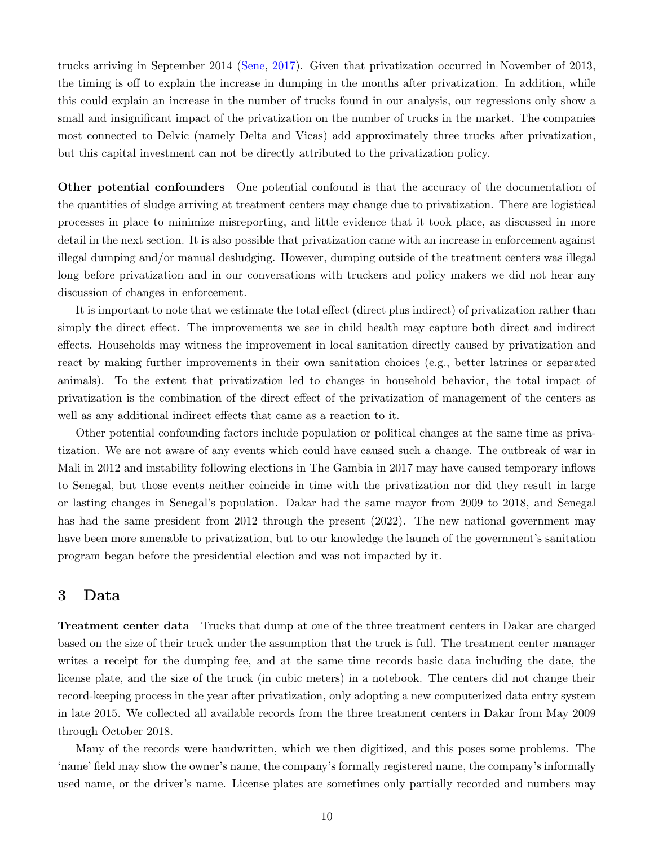trucks arriving in September 2014 [\(Sene,](#page-31-1) [2017\)](#page-31-1). Given that privatization occurred in November of 2013, the timing is off to explain the increase in dumping in the months after privatization. In addition, while this could explain an increase in the number of trucks found in our analysis, our regressions only show a small and insignificant impact of the privatization on the number of trucks in the market. The companies most connected to Delvic (namely Delta and Vicas) add approximately three trucks after privatization, but this capital investment can not be directly attributed to the privatization policy.

Other potential confounders One potential confound is that the accuracy of the documentation of the quantities of sludge arriving at treatment centers may change due to privatization. There are logistical processes in place to minimize misreporting, and little evidence that it took place, as discussed in more detail in the next section. It is also possible that privatization came with an increase in enforcement against illegal dumping and/or manual desludging. However, dumping outside of the treatment centers was illegal long before privatization and in our conversations with truckers and policy makers we did not hear any discussion of changes in enforcement.

It is important to note that we estimate the total effect (direct plus indirect) of privatization rather than simply the direct effect. The improvements we see in child health may capture both direct and indirect effects. Households may witness the improvement in local sanitation directly caused by privatization and react by making further improvements in their own sanitation choices (e.g., better latrines or separated animals). To the extent that privatization led to changes in household behavior, the total impact of privatization is the combination of the direct effect of the privatization of management of the centers as well as any additional indirect effects that came as a reaction to it.

Other potential confounding factors include population or political changes at the same time as privatization. We are not aware of any events which could have caused such a change. The outbreak of war in Mali in 2012 and instability following elections in The Gambia in 2017 may have caused temporary inflows to Senegal, but those events neither coincide in time with the privatization nor did they result in large or lasting changes in Senegal's population. Dakar had the same mayor from 2009 to 2018, and Senegal has had the same president from 2012 through the present (2022). The new national government may have been more amenable to privatization, but to our knowledge the launch of the government's sanitation program began before the presidential election and was not impacted by it.

## 3 Data

Treatment center data Trucks that dump at one of the three treatment centers in Dakar are charged based on the size of their truck under the assumption that the truck is full. The treatment center manager writes a receipt for the dumping fee, and at the same time records basic data including the date, the license plate, and the size of the truck (in cubic meters) in a notebook. The centers did not change their record-keeping process in the year after privatization, only adopting a new computerized data entry system in late 2015. We collected all available records from the three treatment centers in Dakar from May 2009 through October 2018.

Many of the records were handwritten, which we then digitized, and this poses some problems. The 'name' field may show the owner's name, the company's formally registered name, the company's informally used name, or the driver's name. License plates are sometimes only partially recorded and numbers may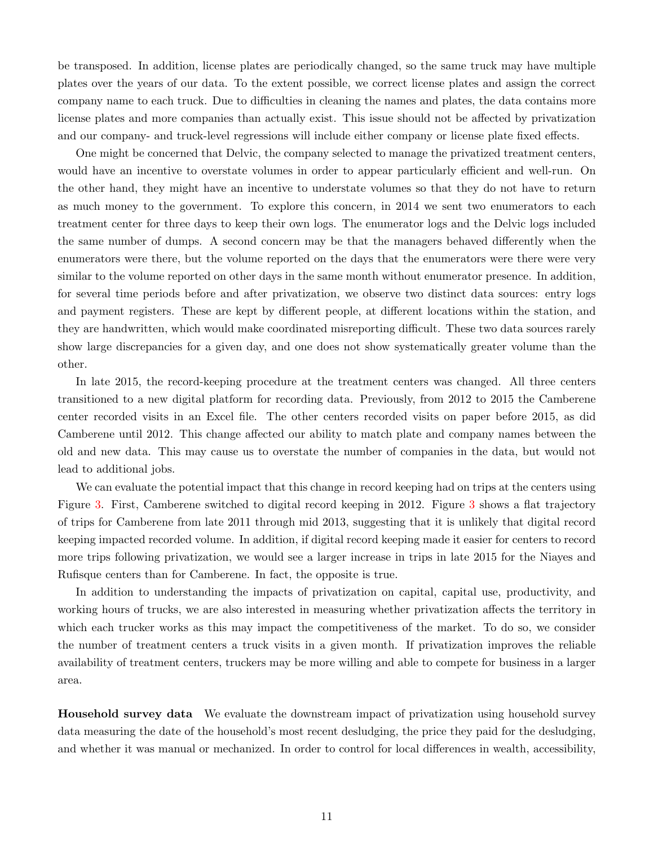be transposed. In addition, license plates are periodically changed, so the same truck may have multiple plates over the years of our data. To the extent possible, we correct license plates and assign the correct company name to each truck. Due to difficulties in cleaning the names and plates, the data contains more license plates and more companies than actually exist. This issue should not be affected by privatization and our company- and truck-level regressions will include either company or license plate fixed effects.

One might be concerned that Delvic, the company selected to manage the privatized treatment centers, would have an incentive to overstate volumes in order to appear particularly efficient and well-run. On the other hand, they might have an incentive to understate volumes so that they do not have to return as much money to the government. To explore this concern, in 2014 we sent two enumerators to each treatment center for three days to keep their own logs. The enumerator logs and the Delvic logs included the same number of dumps. A second concern may be that the managers behaved differently when the enumerators were there, but the volume reported on the days that the enumerators were there were very similar to the volume reported on other days in the same month without enumerator presence. In addition, for several time periods before and after privatization, we observe two distinct data sources: entry logs and payment registers. These are kept by different people, at different locations within the station, and they are handwritten, which would make coordinated misreporting difficult. These two data sources rarely show large discrepancies for a given day, and one does not show systematically greater volume than the other.

In late 2015, the record-keeping procedure at the treatment centers was changed. All three centers transitioned to a new digital platform for recording data. Previously, from 2012 to 2015 the Camberene center recorded visits in an Excel file. The other centers recorded visits on paper before 2015, as did Camberene until 2012. This change affected our ability to match plate and company names between the old and new data. This may cause us to overstate the number of companies in the data, but would not lead to additional jobs.

We can evaluate the potential impact that this change in record keeping had on trips at the centers using Figure [3.](#page-12-0) First, Camberene switched to digital record keeping in 2012. Figure [3](#page-12-0) shows a flat trajectory of trips for Camberene from late 2011 through mid 2013, suggesting that it is unlikely that digital record keeping impacted recorded volume. In addition, if digital record keeping made it easier for centers to record more trips following privatization, we would see a larger increase in trips in late 2015 for the Niayes and Rufisque centers than for Camberene. In fact, the opposite is true.

In addition to understanding the impacts of privatization on capital, capital use, productivity, and working hours of trucks, we are also interested in measuring whether privatization affects the territory in which each trucker works as this may impact the competitiveness of the market. To do so, we consider the number of treatment centers a truck visits in a given month. If privatization improves the reliable availability of treatment centers, truckers may be more willing and able to compete for business in a larger area.

Household survey data We evaluate the downstream impact of privatization using household survey data measuring the date of the household's most recent desludging, the price they paid for the desludging, and whether it was manual or mechanized. In order to control for local differences in wealth, accessibility,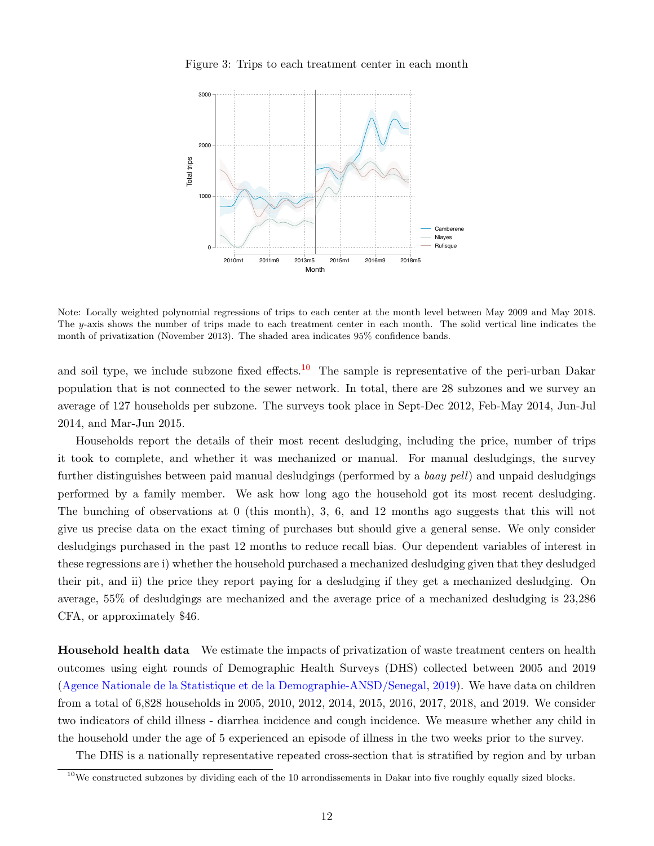#### Figure 3: Trips to each treatment center in each month

<span id="page-12-0"></span>

Note: Locally weighted polynomial regressions of trips to each center at the month level between May 2009 and May 2018. The y-axis shows the number of trips made to each treatment center in each month. The solid vertical line indicates the month of privatization (November 2013). The shaded area indicates 95% confidence bands.

and soil type, we include subzone fixed effects.<sup>[10](#page-12-1)</sup> The sample is representative of the peri-urban Dakar population that is not connected to the sewer network. In total, there are 28 subzones and we survey an average of 127 households per subzone. The surveys took place in Sept-Dec 2012, Feb-May 2014, Jun-Jul 2014, and Mar-Jun 2015.

Households report the details of their most recent desludging, including the price, number of trips it took to complete, and whether it was mechanized or manual. For manual desludgings, the survey further distinguishes between paid manual desludgings (performed by a baay pell) and unpaid desludgings performed by a family member. We ask how long ago the household got its most recent desludging. The bunching of observations at 0 (this month), 3, 6, and 12 months ago suggests that this will not give us precise data on the exact timing of purchases but should give a general sense. We only consider desludgings purchased in the past 12 months to reduce recall bias. Our dependent variables of interest in these regressions are i) whether the household purchased a mechanized desludging given that they desludged their pit, and ii) the price they report paying for a desludging if they get a mechanized desludging. On average, 55% of desludgings are mechanized and the average price of a mechanized desludging is 23,286 CFA, or approximately \$46.

Household health data We estimate the impacts of privatization of waste treatment centers on health outcomes using eight rounds of Demographic Health Surveys (DHS) collected between 2005 and 2019 [\(Agence Nationale de la Statistique et de la Demographie-ANSD/Senegal,](#page-29-14) [2019\)](#page-29-14). We have data on children from a total of 6,828 households in 2005, 2010, 2012, 2014, 2015, 2016, 2017, 2018, and 2019. We consider two indicators of child illness - diarrhea incidence and cough incidence. We measure whether any child in the household under the age of 5 experienced an episode of illness in the two weeks prior to the survey.

The DHS is a nationally representative repeated cross-section that is stratified by region and by urban

<span id="page-12-1"></span> $10$ We constructed subzones by dividing each of the 10 arrondissements in Dakar into five roughly equally sized blocks.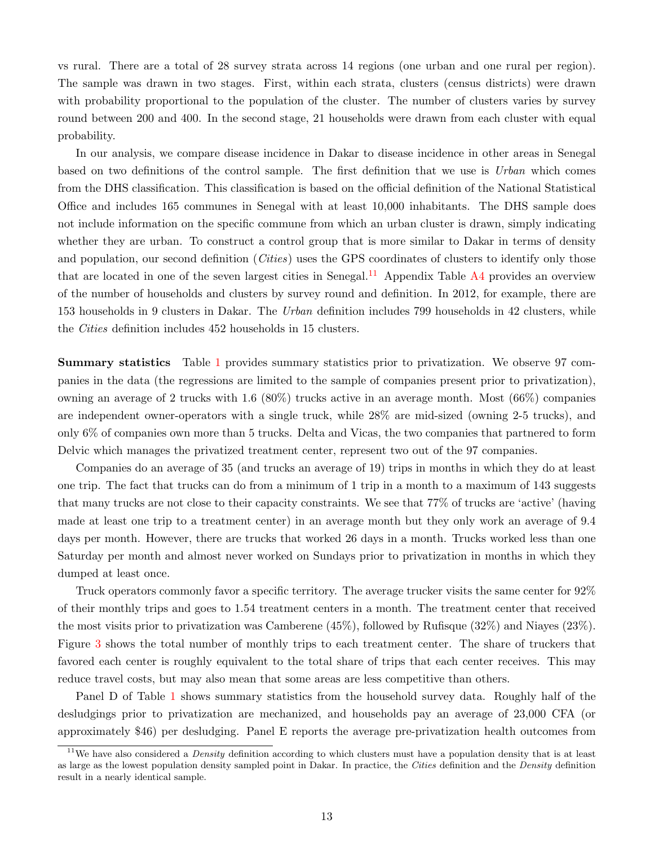vs rural. There are a total of 28 survey strata across 14 regions (one urban and one rural per region). The sample was drawn in two stages. First, within each strata, clusters (census districts) were drawn with probability proportional to the population of the cluster. The number of clusters varies by survey round between 200 and 400. In the second stage, 21 households were drawn from each cluster with equal probability.

In our analysis, we compare disease incidence in Dakar to disease incidence in other areas in Senegal based on two definitions of the control sample. The first definition that we use is Urban which comes from the DHS classification. This classification is based on the official definition of the National Statistical Office and includes 165 communes in Senegal with at least 10,000 inhabitants. The DHS sample does not include information on the specific commune from which an urban cluster is drawn, simply indicating whether they are urban. To construct a control group that is more similar to Dakar in terms of density and population, our second definition (*Cities*) uses the GPS coordinates of clusters to identify only those that are located in one of the seven largest cities in Senegal.<sup>[11](#page-13-0)</sup> Appendix Table  $A4$  provides an overview of the number of households and clusters by survey round and definition. In 2012, for example, there are 153 households in 9 clusters in Dakar. The Urban definition includes 799 households in 42 clusters, while the Cities definition includes 452 households in 15 clusters.

Summary statistics Table [1](#page-14-0) provides summary statistics prior to privatization. We observe 97 companies in the data (the regressions are limited to the sample of companies present prior to privatization), owning an average of 2 trucks with 1.6 (80%) trucks active in an average month. Most (66%) companies are independent owner-operators with a single truck, while 28% are mid-sized (owning 2-5 trucks), and only 6% of companies own more than 5 trucks. Delta and Vicas, the two companies that partnered to form Delvic which manages the privatized treatment center, represent two out of the 97 companies.

Companies do an average of 35 (and trucks an average of 19) trips in months in which they do at least one trip. The fact that trucks can do from a minimum of 1 trip in a month to a maximum of 143 suggests that many trucks are not close to their capacity constraints. We see that 77% of trucks are 'active' (having made at least one trip to a treatment center) in an average month but they only work an average of 9.4 days per month. However, there are trucks that worked 26 days in a month. Trucks worked less than one Saturday per month and almost never worked on Sundays prior to privatization in months in which they dumped at least once.

Truck operators commonly favor a specific territory. The average trucker visits the same center for 92% of their monthly trips and goes to 1.54 treatment centers in a month. The treatment center that received the most visits prior to privatization was Camberene (45%), followed by Rufisque (32%) and Niayes (23%). Figure [3](#page-12-0) shows the total number of monthly trips to each treatment center. The share of truckers that favored each center is roughly equivalent to the total share of trips that each center receives. This may reduce travel costs, but may also mean that some areas are less competitive than others.

Panel D of Table [1](#page-14-0) shows summary statistics from the household survey data. Roughly half of the desludgings prior to privatization are mechanized, and households pay an average of 23,000 CFA (or approximately \$46) per desludging. Panel E reports the average pre-privatization health outcomes from

<span id="page-13-0"></span><sup>&</sup>lt;sup>11</sup>We have also considered a *Density* definition according to which clusters must have a population density that is at least as large as the lowest population density sampled point in Dakar. In practice, the Cities definition and the Density definition result in a nearly identical sample.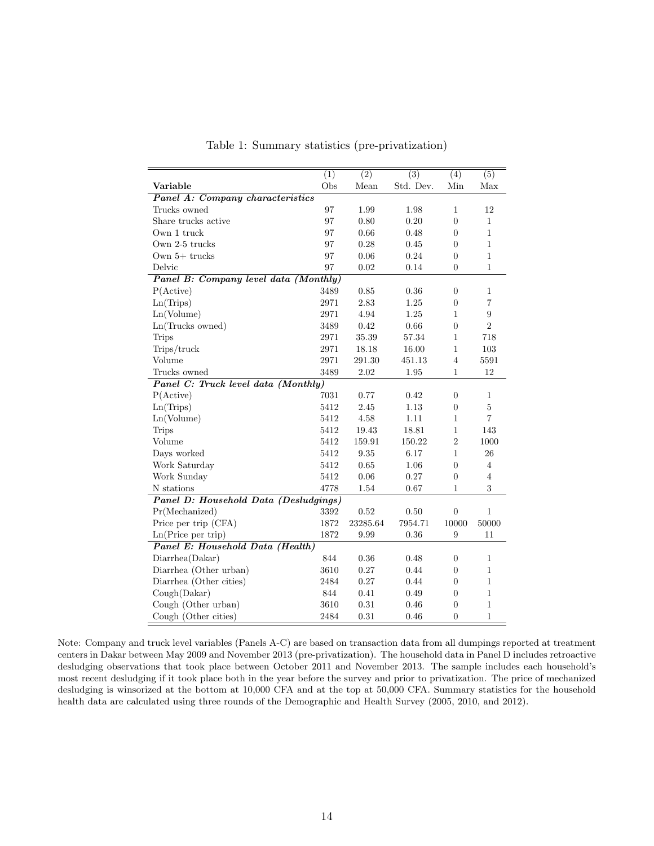<span id="page-14-0"></span>

|                                       | $\overline{(1)}$ | $\overline{(2)}$ | $\overline{(3)}$ | $\overline{(4)}$ | (5)            |
|---------------------------------------|------------------|------------------|------------------|------------------|----------------|
| Variable                              | Obs              | Mean             | Std. Dev.        | Min              | Max            |
| Panel A: Company characteristics      |                  |                  |                  |                  |                |
| Trucks owned                          | 97               | 1.99             | 1.98             | 1                | 12             |
| Share trucks active                   | 97               | 0.80             | 0.20             | $\overline{0}$   | $\mathbf{1}$   |
| Own 1 truck                           | 97               | 0.66             | 0.48             | $\overline{0}$   | $\mathbf{1}$   |
| Own 2-5 trucks                        | 97               | 0.28             | 0.45             | $\theta$         | $\mathbf{1}$   |
| Own $5+$ trucks                       | 97               | 0.06             | 0.24             | $\theta$         | $\mathbf{1}$   |
| Delvic                                | 97               | 0.02             | 0.14             | $\theta$         | 1              |
| Panel B: Company level data (Monthly) |                  |                  |                  |                  |                |
| P(Active)                             | 3489             | 0.85             | 0.36             | $\theta$         | 1              |
| Ln(Trips)                             | 2971             | 2.83             | 1.25             | $\overline{0}$   | $\overline{7}$ |
| Ln(Volume)                            | 2971             | 4.94             | 1.25             | $\mathbf{1}$     | 9              |
| Ln(Trucks owned)                      | 3489             | 0.42             | 0.66             | $\overline{0}$   | $\overline{2}$ |
| <b>Trips</b>                          | 2971             | 35.39            | 57.34            | 1                | 718            |
| Trips/truck                           | 2971             | 18.18            | 16.00            | $\mathbf{1}$     | 103            |
| Volume                                | 2971             | 291.30           | 451.13           | $\overline{4}$   | 5591           |
| Trucks owned                          | 3489             | 2.02             | 1.95             | $\mathbf{1}$     | 12             |
| Panel C: Truck level data (Monthly)   |                  |                  |                  |                  |                |
| P(Active)                             | 7031             | 0.77             | 0.42             | $\theta$         | $\mathbf{1}$   |
| Ln(Trips)                             | 5412             | 2.45             | 1.13             | $\overline{0}$   | 5              |
| Ln(Volume)                            | 5412             | 4.58             | 1.11             | $\mathbf{1}$     | $\overline{7}$ |
| <b>Trips</b>                          | 5412             | 19.43            | 18.81            | $\mathbf{1}$     | 143            |
| Volume                                | 5412             | 159.91           | 150.22           | $\overline{2}$   | 1000           |
| Days worked                           | 5412             | 9.35             | 6.17             | 1                | 26             |
| Work Saturday                         | 5412             | 0.65             | 1.06             | $\overline{0}$   | 4              |
| Work Sunday                           | 5412             | 0.06             | 0.27             | $\overline{0}$   | $\overline{4}$ |
| ${\cal N}$ stations                   | 4778             | 1.54             | 0.67             | 1                | 3              |
| Panel D: Household Data (Desludgings) |                  |                  |                  |                  |                |
| Pr(Mechanized)                        | 3392             | 0.52             | 0.50             | $\overline{0}$   | $\mathbf{1}$   |
| Price per trip (CFA)                  | 1872             | 23285.64         | 7954.71          | 10000            | 50000          |
| Ln(Price per trip)                    | 1872             | 9.99             | 0.36             | 9                | 11             |
| Panel E: Household Data (Health)      |                  |                  |                  |                  |                |
| Diarrhea(Dakar)                       | 844              | 0.36             | 0.48             | $\overline{0}$   | 1              |
| Diarrhea (Other urban)                | 3610             | 0.27             | 0.44             | $\boldsymbol{0}$ | $\mathbf{1}$   |
| Diarrhea (Other cities)               | 2484             | 0.27             | 0.44             | $\theta$         | $\mathbf{1}$   |
| Cough(Dakar)                          | 844              | 0.41             | 0.49             | $\theta$         | $\mathbf{1}$   |
| Cough (Other urban)                   | 3610             | 0.31             | 0.46             | $\overline{0}$   | $\mathbf{1}$   |
| Cough (Other cities)                  | 2484             | 0.31             | 0.46             | $\overline{0}$   | $\mathbf{1}$   |

Table 1: Summary statistics (pre-privatization)

Note: Company and truck level variables (Panels A-C) are based on transaction data from all dumpings reported at treatment centers in Dakar between May 2009 and November 2013 (pre-privatization). The household data in Panel D includes retroactive desludging observations that took place between October 2011 and November 2013. The sample includes each household's most recent desludging if it took place both in the year before the survey and prior to privatization. The price of mechanized desludging is winsorized at the bottom at 10,000 CFA and at the top at 50,000 CFA. Summary statistics for the household health data are calculated using three rounds of the Demographic and Health Survey (2005, 2010, and 2012).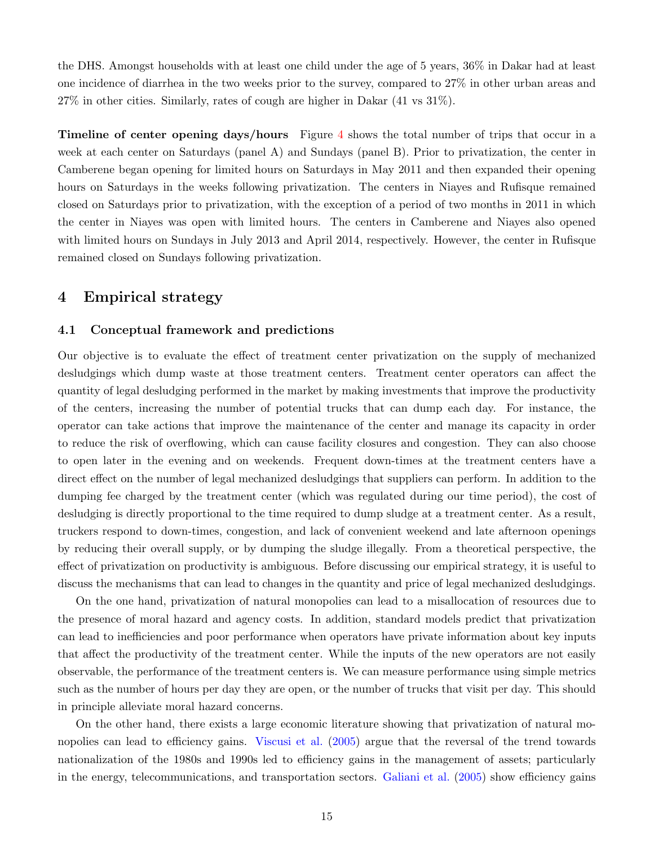the DHS. Amongst households with at least one child under the age of 5 years, 36% in Dakar had at least one incidence of diarrhea in the two weeks prior to the survey, compared to 27% in other urban areas and 27% in other cities. Similarly, rates of cough are higher in Dakar (41 vs 31%).

Timeline of center opening days/hours Figure [4](#page-16-0) shows the total number of trips that occur in a week at each center on Saturdays (panel A) and Sundays (panel B). Prior to privatization, the center in Camberene began opening for limited hours on Saturdays in May 2011 and then expanded their opening hours on Saturdays in the weeks following privatization. The centers in Niayes and Rufisque remained closed on Saturdays prior to privatization, with the exception of a period of two months in 2011 in which the center in Niayes was open with limited hours. The centers in Camberene and Niayes also opened with limited hours on Sundays in July 2013 and April 2014, respectively. However, the center in Rufisque remained closed on Sundays following privatization.

## 4 Empirical strategy

#### 4.1 Conceptual framework and predictions

Our objective is to evaluate the effect of treatment center privatization on the supply of mechanized desludgings which dump waste at those treatment centers. Treatment center operators can affect the quantity of legal desludging performed in the market by making investments that improve the productivity of the centers, increasing the number of potential trucks that can dump each day. For instance, the operator can take actions that improve the maintenance of the center and manage its capacity in order to reduce the risk of overflowing, which can cause facility closures and congestion. They can also choose to open later in the evening and on weekends. Frequent down-times at the treatment centers have a direct effect on the number of legal mechanized desludgings that suppliers can perform. In addition to the dumping fee charged by the treatment center (which was regulated during our time period), the cost of desludging is directly proportional to the time required to dump sludge at a treatment center. As a result, truckers respond to down-times, congestion, and lack of convenient weekend and late afternoon openings by reducing their overall supply, or by dumping the sludge illegally. From a theoretical perspective, the effect of privatization on productivity is ambiguous. Before discussing our empirical strategy, it is useful to discuss the mechanisms that can lead to changes in the quantity and price of legal mechanized desludgings.

On the one hand, privatization of natural monopolies can lead to a misallocation of resources due to the presence of moral hazard and agency costs. In addition, standard models predict that privatization can lead to inefficiencies and poor performance when operators have private information about key inputs that affect the productivity of the treatment center. While the inputs of the new operators are not easily observable, the performance of the treatment centers is. We can measure performance using simple metrics such as the number of hours per day they are open, or the number of trucks that visit per day. This should in principle alleviate moral hazard concerns.

On the other hand, there exists a large economic literature showing that privatization of natural monopolies can lead to efficiency gains. [Viscusi et al.](#page-31-8) [\(2005\)](#page-31-8) argue that the reversal of the trend towards nationalization of the 1980s and 1990s led to efficiency gains in the management of assets; particularly in the energy, telecommunications, and transportation sectors. [Galiani et al.](#page-29-9) [\(2005\)](#page-29-9) show efficiency gains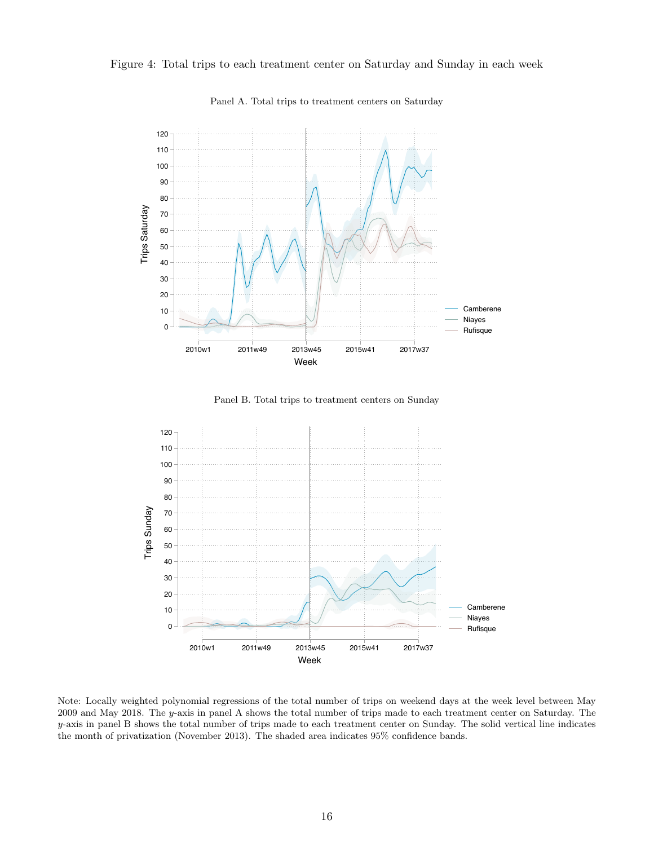<span id="page-16-0"></span>Figure 4: Total trips to each treatment center on Saturday and Sunday in each week



Panel A. Total trips to treatment centers on Saturday

Panel B. Total trips to treatment centers on Sunday



Note: Locally weighted polynomial regressions of the total number of trips on weekend days at the week level between May 2009 and May 2018. The y-axis in panel A shows the total number of trips made to each treatment center on Saturday. The y-axis in panel B shows the total number of trips made to each treatment center on Sunday. The solid vertical line indicates the month of privatization (November 2013). The shaded area indicates 95% confidence bands.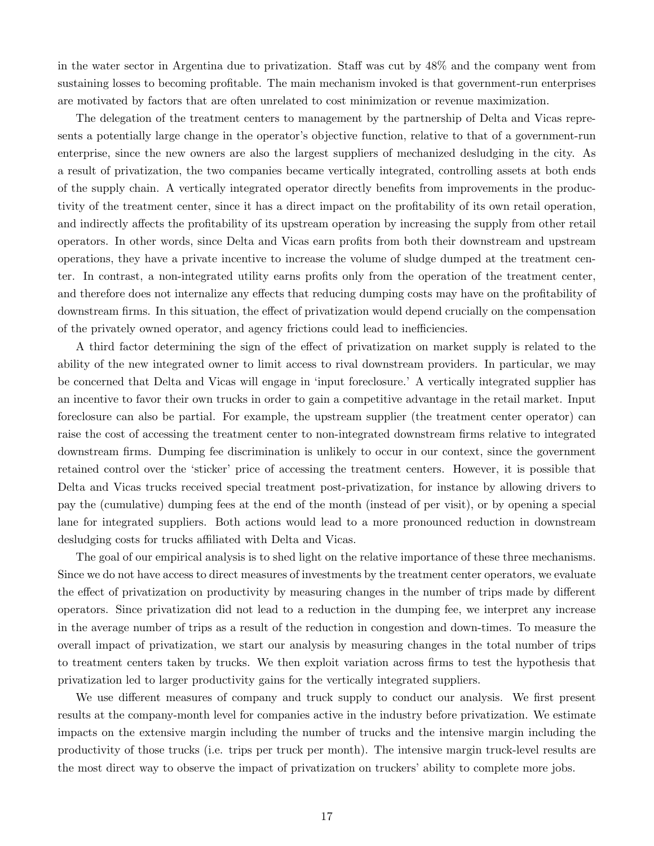in the water sector in Argentina due to privatization. Staff was cut by 48% and the company went from sustaining losses to becoming profitable. The main mechanism invoked is that government-run enterprises are motivated by factors that are often unrelated to cost minimization or revenue maximization.

The delegation of the treatment centers to management by the partnership of Delta and Vicas represents a potentially large change in the operator's objective function, relative to that of a government-run enterprise, since the new owners are also the largest suppliers of mechanized desludging in the city. As a result of privatization, the two companies became vertically integrated, controlling assets at both ends of the supply chain. A vertically integrated operator directly benefits from improvements in the productivity of the treatment center, since it has a direct impact on the profitability of its own retail operation, and indirectly affects the profitability of its upstream operation by increasing the supply from other retail operators. In other words, since Delta and Vicas earn profits from both their downstream and upstream operations, they have a private incentive to increase the volume of sludge dumped at the treatment center. In contrast, a non-integrated utility earns profits only from the operation of the treatment center, and therefore does not internalize any effects that reducing dumping costs may have on the profitability of downstream firms. In this situation, the effect of privatization would depend crucially on the compensation of the privately owned operator, and agency frictions could lead to inefficiencies.

A third factor determining the sign of the effect of privatization on market supply is related to the ability of the new integrated owner to limit access to rival downstream providers. In particular, we may be concerned that Delta and Vicas will engage in 'input foreclosure.' A vertically integrated supplier has an incentive to favor their own trucks in order to gain a competitive advantage in the retail market. Input foreclosure can also be partial. For example, the upstream supplier (the treatment center operator) can raise the cost of accessing the treatment center to non-integrated downstream firms relative to integrated downstream firms. Dumping fee discrimination is unlikely to occur in our context, since the government retained control over the 'sticker' price of accessing the treatment centers. However, it is possible that Delta and Vicas trucks received special treatment post-privatization, for instance by allowing drivers to pay the (cumulative) dumping fees at the end of the month (instead of per visit), or by opening a special lane for integrated suppliers. Both actions would lead to a more pronounced reduction in downstream desludging costs for trucks affiliated with Delta and Vicas.

The goal of our empirical analysis is to shed light on the relative importance of these three mechanisms. Since we do not have access to direct measures of investments by the treatment center operators, we evaluate the effect of privatization on productivity by measuring changes in the number of trips made by different operators. Since privatization did not lead to a reduction in the dumping fee, we interpret any increase in the average number of trips as a result of the reduction in congestion and down-times. To measure the overall impact of privatization, we start our analysis by measuring changes in the total number of trips to treatment centers taken by trucks. We then exploit variation across firms to test the hypothesis that privatization led to larger productivity gains for the vertically integrated suppliers.

We use different measures of company and truck supply to conduct our analysis. We first present results at the company-month level for companies active in the industry before privatization. We estimate impacts on the extensive margin including the number of trucks and the intensive margin including the productivity of those trucks (i.e. trips per truck per month). The intensive margin truck-level results are the most direct way to observe the impact of privatization on truckers' ability to complete more jobs.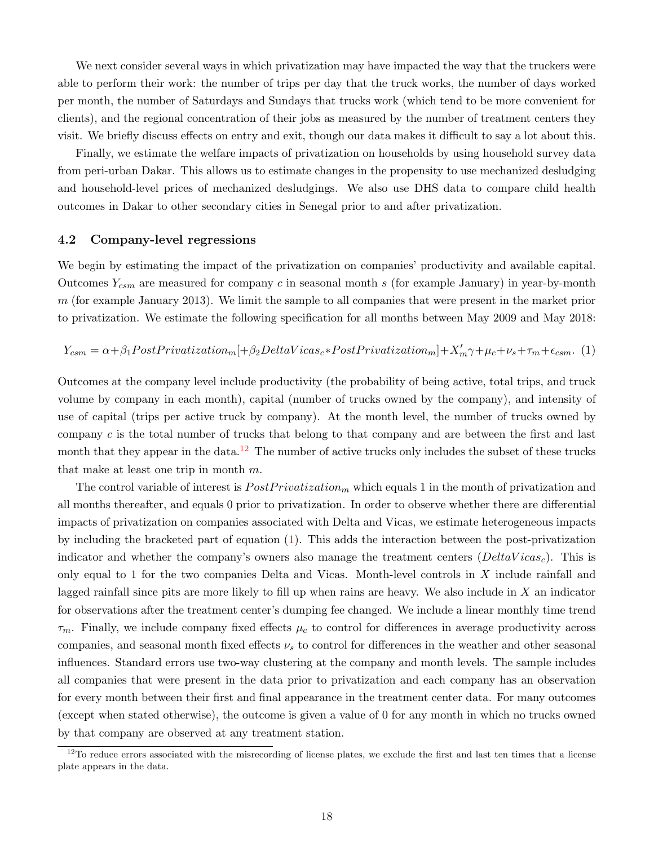We next consider several ways in which privatization may have impacted the way that the truckers were able to perform their work: the number of trips per day that the truck works, the number of days worked per month, the number of Saturdays and Sundays that trucks work (which tend to be more convenient for clients), and the regional concentration of their jobs as measured by the number of treatment centers they visit. We briefly discuss effects on entry and exit, though our data makes it difficult to say a lot about this.

Finally, we estimate the welfare impacts of privatization on households by using household survey data from peri-urban Dakar. This allows us to estimate changes in the propensity to use mechanized desludging and household-level prices of mechanized desludgings. We also use DHS data to compare child health outcomes in Dakar to other secondary cities in Senegal prior to and after privatization.

## 4.2 Company-level regressions

We begin by estimating the impact of the privatization on companies' productivity and available capital. Outcomes  $Y_{csm}$  are measured for company c in seasonal month s (for example January) in year-by-month  $m$  (for example January 2013). We limit the sample to all companies that were present in the market prior to privatization. We estimate the following specification for all months between May 2009 and May 2018:

<span id="page-18-1"></span>
$$
Y_{csm} = \alpha + \beta_1 PostPrivateization_m[ + \beta_2 DeltaVicas_c* PostPrivateization_m] + X'_m \gamma + \mu_c + \nu_s + \tau_m + \epsilon_{csm}.
$$
 (1)

Outcomes at the company level include productivity (the probability of being active, total trips, and truck volume by company in each month), capital (number of trucks owned by the company), and intensity of use of capital (trips per active truck by company). At the month level, the number of trucks owned by company c is the total number of trucks that belong to that company and are between the first and last month that they appear in the data.<sup>[12](#page-18-0)</sup> The number of active trucks only includes the subset of these trucks that make at least one trip in month m.

The control variable of interest is  $PostPrivateation_m$  which equals 1 in the month of privatization and all months thereafter, and equals 0 prior to privatization. In order to observe whether there are differential impacts of privatization on companies associated with Delta and Vicas, we estimate heterogeneous impacts by including the bracketed part of equation [\(1\)](#page-18-1). This adds the interaction between the post-privatization indicator and whether the company's owners also manage the treatment centers ( $DeltaVicas<sub>c</sub>$ ). This is only equal to 1 for the two companies Delta and Vicas. Month-level controls in X include rainfall and lagged rainfall since pits are more likely to fill up when rains are heavy. We also include in  $X$  an indicator for observations after the treatment center's dumping fee changed. We include a linear monthly time trend  $\tau_m$ . Finally, we include company fixed effects  $\mu_c$  to control for differences in average productivity across companies, and seasonal month fixed effects  $\nu_s$  to control for differences in the weather and other seasonal influences. Standard errors use two-way clustering at the company and month levels. The sample includes all companies that were present in the data prior to privatization and each company has an observation for every month between their first and final appearance in the treatment center data. For many outcomes (except when stated otherwise), the outcome is given a value of 0 for any month in which no trucks owned by that company are observed at any treatment station.

<span id="page-18-0"></span> $12$ To reduce errors associated with the misrecording of license plates, we exclude the first and last ten times that a license plate appears in the data.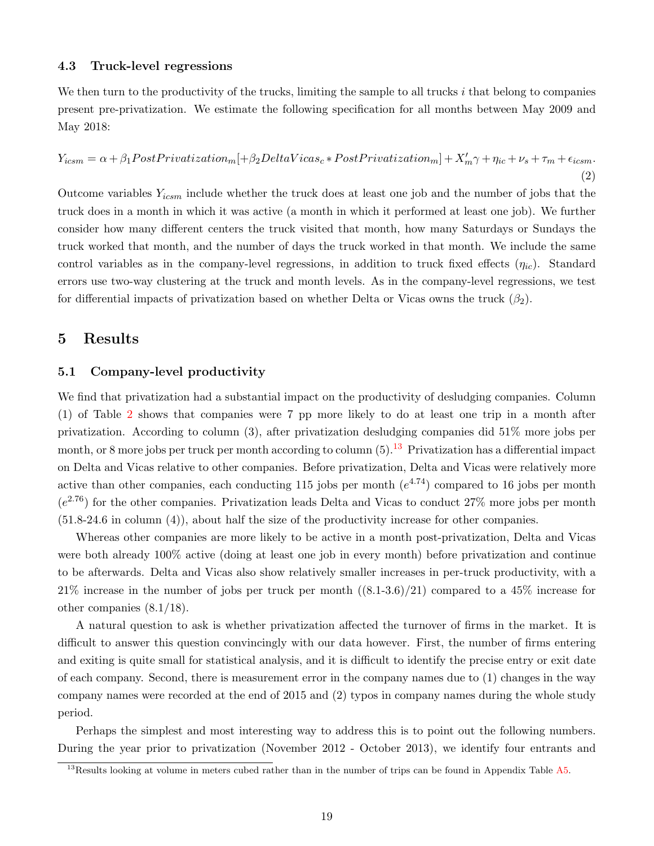#### 4.3 Truck-level regressions

We then turn to the productivity of the trucks, limiting the sample to all trucks i that belong to companies present pre-privatization. We estimate the following specification for all months between May 2009 and May 2018:

<span id="page-19-1"></span>
$$
Y_{icsm} = \alpha + \beta_1 PostPrivateization_m[ + \beta_2 DeltaVicas_c * PostPrivateization_m] + X'_m \gamma + \eta_{ic} + \nu_s + \tau_m + \epsilon_{icsm}.
$$
\n(2)

Outcome variables  $Y_{icsm}$  include whether the truck does at least one job and the number of jobs that the truck does in a month in which it was active (a month in which it performed at least one job). We further consider how many different centers the truck visited that month, how many Saturdays or Sundays the truck worked that month, and the number of days the truck worked in that month. We include the same control variables as in the company-level regressions, in addition to truck fixed effects  $(\eta_{ic})$ . Standard errors use two-way clustering at the truck and month levels. As in the company-level regressions, we test for differential impacts of privatization based on whether Delta or Vicas owns the truck  $(\beta_2)$ .

## 5 Results

#### 5.1 Company-level productivity

We find that privatization had a substantial impact on the productivity of desludging companies. Column (1) of Table [2](#page-20-0) shows that companies were 7 pp more likely to do at least one trip in a month after privatization. According to column (3), after privatization desludging companies did 51% more jobs per month, or 8 more jobs per truck per month according to column  $(5).<sup>13</sup>$  $(5).<sup>13</sup>$  $(5).<sup>13</sup>$  Privatization has a differential impact on Delta and Vicas relative to other companies. Before privatization, Delta and Vicas were relatively more active than other companies, each conducting 115 jobs per month  $(e^{4.74})$  compared to 16 jobs per month  $(e^{2.76})$  for the other companies. Privatization leads Delta and Vicas to conduct 27% more jobs per month (51.8-24.6 in column (4)), about half the size of the productivity increase for other companies.

Whereas other companies are more likely to be active in a month post-privatization, Delta and Vicas were both already 100% active (doing at least one job in every month) before privatization and continue to be afterwards. Delta and Vicas also show relatively smaller increases in per-truck productivity, with a  $21\%$  increase in the number of jobs per truck per month  $((8.1-3.6)/21)$  compared to a 45% increase for other companies (8.1/18).

A natural question to ask is whether privatization affected the turnover of firms in the market. It is difficult to answer this question convincingly with our data however. First, the number of firms entering and exiting is quite small for statistical analysis, and it is difficult to identify the precise entry or exit date of each company. Second, there is measurement error in the company names due to (1) changes in the way company names were recorded at the end of 2015 and (2) typos in company names during the whole study period.

Perhaps the simplest and most interesting way to address this is to point out the following numbers. During the year prior to privatization (November 2012 - October 2013), we identify four entrants and

<span id="page-19-0"></span><sup>&</sup>lt;sup>13</sup>Results looking at volume in meters cubed rather than in the number of trips can be found in Appendix Table [A5.](#page-34-1)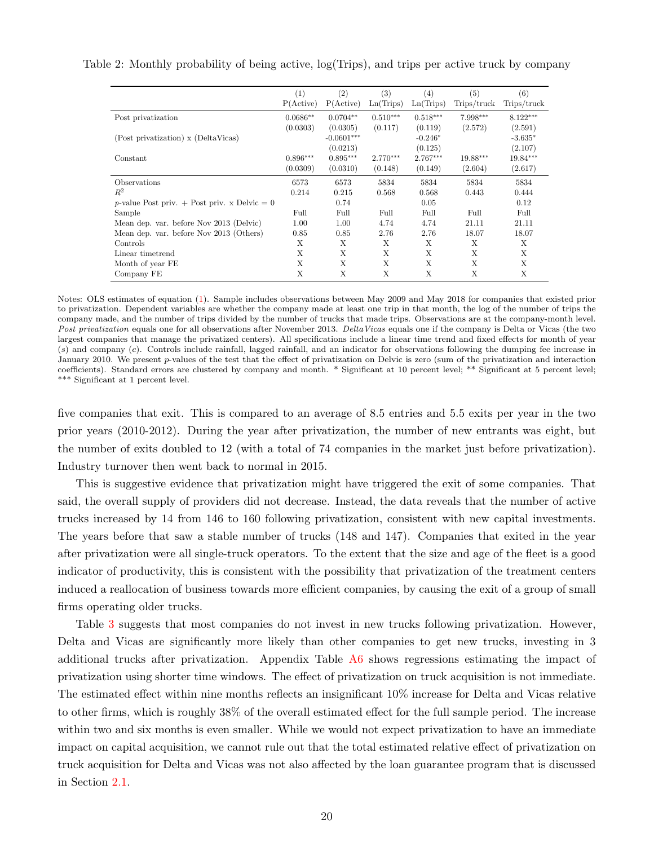|                                                      | (1)        | (2)          | (3)        | (4)        | (5)         | (6)         |
|------------------------------------------------------|------------|--------------|------------|------------|-------------|-------------|
|                                                      | P(Active)  | P(Active)    | Ln(Trips)  | Ln(Trips)  | Trips/truck | Trips/truck |
| Post privatization                                   | $0.0686**$ | $0.0704**$   | $0.510***$ | $0.518***$ | $7.998***$  | $8.122***$  |
|                                                      | (0.0303)   | (0.0305)     | (0.117)    | (0.119)    | (2.572)     | (2.591)     |
| (Post privatization) x (DeltaVicas)                  |            | $-0.0601***$ |            | $-0.246*$  |             | $-3.635*$   |
|                                                      |            | (0.0213)     |            | (0.125)    |             | (2.107)     |
| Constant                                             | $0.896***$ | $0.895***$   | $2.770***$ | $2.767***$ | 19.88***    | $19.84***$  |
|                                                      | (0.0309)   | (0.0310)     | (0.148)    | (0.149)    | (2.604)     | (2.617)     |
| Observations                                         | 6573       | 6573         | 5834       | 5834       | 5834        | 5834        |
| $R^2$                                                | 0.214      | 0.215        | 0.568      | 0.568      | 0.443       | 0.444       |
| <i>p</i> -value Post priv. + Post priv. x Delvic = 0 |            | 0.74         |            | 0.05       |             | 0.12        |
| Sample                                               | Full       | Full         | Full       | Full       | Full        | Full        |
| Mean dep. var. before Nov 2013 (Delvic)              | 1.00       | 1.00         | 4.74       | 4.74       | 21.11       | 21.11       |
| Mean dep. var. before Nov 2013 (Others)              | 0.85       | 0.85         | 2.76       | 2.76       | 18.07       | 18.07       |
| Controls                                             | X          | X            | X          | X          | X           | X           |
| Linear timetrend                                     | X          | X            | X          | X          | X           | X           |
| Month of year FE                                     | X          | X            | X          | X          | X           | X           |
| Company FE                                           | Χ          | Χ            | X          | X          | Χ           | X           |

<span id="page-20-0"></span>Table 2: Monthly probability of being active, log(Trips), and trips per active truck by company

Notes: OLS estimates of equation [\(1\)](#page-18-1). Sample includes observations between May 2009 and May 2018 for companies that existed prior to privatization. Dependent variables are whether the company made at least one trip in that month, the log of the number of trips the company made, and the number of trips divided by the number of trucks that made trips. Observations are at the company-month level. Post privatization equals one for all observations after November 2013. DeltaVicas equals one if the company is Delta or Vicas (the two largest companies that manage the privatized centers). All specifications include a linear time trend and fixed effects for month of year (s) and company (c). Controls include rainfall, lagged rainfall, and an indicator for observations following the dumping fee increase in January 2010. We present p-values of the test that the effect of privatization on Delvic is zero (sum of the privatization and interaction coefficients). Standard errors are clustered by company and month. \* Significant at 10 percent level; \*\* Significant at 5 percent level; \*\*\* Significant at 1 percent level.

five companies that exit. This is compared to an average of 8.5 entries and 5.5 exits per year in the two prior years (2010-2012). During the year after privatization, the number of new entrants was eight, but the number of exits doubled to 12 (with a total of 74 companies in the market just before privatization). Industry turnover then went back to normal in 2015.

This is suggestive evidence that privatization might have triggered the exit of some companies. That said, the overall supply of providers did not decrease. Instead, the data reveals that the number of active trucks increased by 14 from 146 to 160 following privatization, consistent with new capital investments. The years before that saw a stable number of trucks (148 and 147). Companies that exited in the year after privatization were all single-truck operators. To the extent that the size and age of the fleet is a good indicator of productivity, this is consistent with the possibility that privatization of the treatment centers induced a reallocation of business towards more efficient companies, by causing the exit of a group of small firms operating older trucks.

Table [3](#page-21-0) suggests that most companies do not invest in new trucks following privatization. However, Delta and Vicas are significantly more likely than other companies to get new trucks, investing in 3 additional trucks after privatization. Appendix Table [A6](#page-35-0) shows regressions estimating the impact of privatization using shorter time windows. The effect of privatization on truck acquisition is not immediate. The estimated effect within nine months reflects an insignificant 10% increase for Delta and Vicas relative to other firms, which is roughly 38% of the overall estimated effect for the full sample period. The increase within two and six months is even smaller. While we would not expect privatization to have an immediate impact on capital acquisition, we cannot rule out that the total estimated relative effect of privatization on truck acquisition for Delta and Vicas was not also affected by the loan guarantee program that is discussed in Section [2.1.](#page-6-1)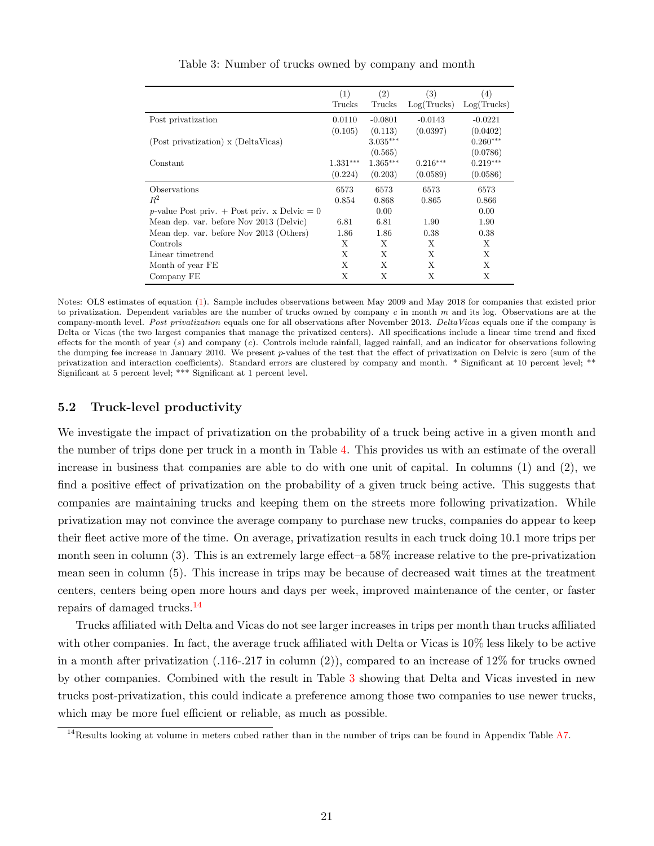<span id="page-21-0"></span>

|                                                      | (1)        | (2)        | (3)         | $\left( 4\right)$ |
|------------------------------------------------------|------------|------------|-------------|-------------------|
|                                                      | Trucks     | Trucks     | Log(Trucks) | Log(Trucks)       |
| Post privatization                                   | 0.0110     | $-0.0801$  | $-0.0143$   | $-0.0221$         |
|                                                      | (0.105)    | (0.113)    | (0.0397)    | (0.0402)          |
| (Post privatization) x (DeltaVicas)                  |            | $3.035***$ |             | $0.260***$        |
|                                                      |            | (0.565)    |             | (0.0786)          |
| Constant                                             | $1.331***$ | $1.365***$ | $0.216***$  | $0.219***$        |
|                                                      | (0.224)    | (0.203)    | (0.0589)    | (0.0586)          |
| Observations                                         | 6573       | 6573       | 6573        | 6573              |
| $R^2$                                                | 0.854      | 0.868      | 0.865       | 0.866             |
| <i>p</i> -value Post priv. + Post priv. x Delvic = 0 |            | 0.00       |             | 0.00              |
| Mean dep. var. before Nov 2013 (Delvic)              | 6.81       | 6.81       | 1.90        | 1.90              |
| Mean dep. var. before Nov 2013 (Others)              | 1.86       | 1.86       | 0.38        | 0.38              |
| Controls                                             | X          | X          | X           | X                 |
| Linear timetrend                                     | Χ          | Χ          | Χ           | X                 |
| Month of year FE                                     | X          | X          | X           | X                 |
| Company FE                                           | X          | Χ          | X           | Χ                 |

Table 3: Number of trucks owned by company and month

Notes: OLS estimates of equation [\(1\)](#page-18-1). Sample includes observations between May 2009 and May 2018 for companies that existed prior to privatization. Dependent variables are the number of trucks owned by company  $c$  in month  $m$  and its log. Observations are at the company-month level. Post privatization equals one for all observations after November 2013. DeltaVicas equals one if the company is Delta or Vicas (the two largest companies that manage the privatized centers). All specifications include a linear time trend and fixed effects for the month of year  $(s)$  and company  $(c)$ . Controls include rainfall, lagged rainfall, and an indicator for observations following the dumping fee increase in January 2010. We present p-values of the test that the effect of privatization on Delvic is zero (sum of the privatization and interaction coefficients). Standard errors are clustered by company and month. \* Significant at 10 percent level; \*\* Significant at 5 percent level; \*\*\* Significant at 1 percent level.

#### 5.2 Truck-level productivity

We investigate the impact of privatization on the probability of a truck being active in a given month and the number of trips done per truck in a month in Table [4.](#page-22-0) This provides us with an estimate of the overall increase in business that companies are able to do with one unit of capital. In columns (1) and (2), we find a positive effect of privatization on the probability of a given truck being active. This suggests that companies are maintaining trucks and keeping them on the streets more following privatization. While privatization may not convince the average company to purchase new trucks, companies do appear to keep their fleet active more of the time. On average, privatization results in each truck doing 10.1 more trips per month seen in column (3). This is an extremely large effect–a  $58\%$  increase relative to the pre-privatization mean seen in column (5). This increase in trips may be because of decreased wait times at the treatment centers, centers being open more hours and days per week, improved maintenance of the center, or faster repairs of damaged trucks.[14](#page-21-1)

Trucks affiliated with Delta and Vicas do not see larger increases in trips per month than trucks affiliated with other companies. In fact, the average truck affiliated with Delta or Vicas is 10% less likely to be active in a month after privatization  $(.116-.217$  in column  $(2)$ ), compared to an increase of  $12\%$  for trucks owned by other companies. Combined with the result in Table [3](#page-21-0) showing that Delta and Vicas invested in new trucks post-privatization, this could indicate a preference among those two companies to use newer trucks, which may be more fuel efficient or reliable, as much as possible.

<span id="page-21-1"></span><sup>&</sup>lt;sup>14</sup>Results looking at volume in meters cubed rather than in the number of trips can be found in Appendix Table [A7.](#page-35-1)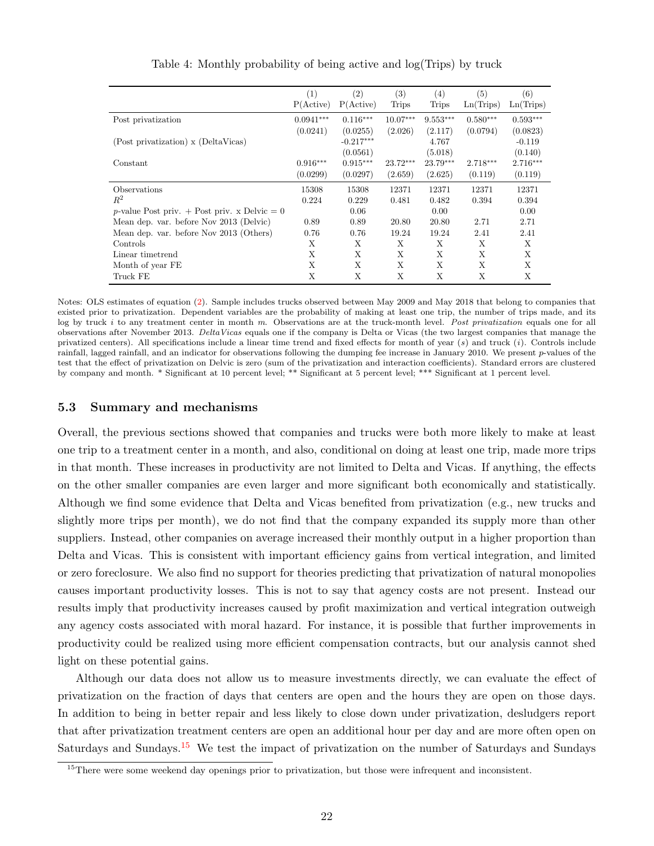<span id="page-22-0"></span>

|                                                      | $\left(1\right)$ | (2)         | (3)          | (4)          | (5)        | (6)        |
|------------------------------------------------------|------------------|-------------|--------------|--------------|------------|------------|
|                                                      | P(Active)        | P(Active)   | <b>Trips</b> | <b>Trips</b> | Ln(Trips)  | Ln(Trips)  |
| Post privatization                                   | $0.0941***$      | $0.116***$  | $10.07***$   | $9.553***$   | $0.580***$ | $0.593***$ |
|                                                      | (0.0241)         | (0.0255)    | (2.026)      | (2.117)      | (0.0794)   | (0.0823)   |
| (Post privatization) x (DeltaVicas)                  |                  | $-0.217***$ |              | 4.767        |            | $-0.119$   |
|                                                      |                  | (0.0561)    |              | (5.018)      |            | (0.140)    |
| Constant                                             | $0.916***$       | $0.915***$  | $23.72***$   | $23.79***$   | $2.718***$ | $2.716***$ |
|                                                      | (0.0299)         | (0.0297)    | (2.659)      | (2.625)      | (0.119)    | (0.119)    |
| Observations                                         | 15308            | 15308       | 12371        | 12371        | 12371      | 12371      |
| $R^2$                                                | 0.224            | 0.229       | 0.481        | 0.482        | 0.394      | 0.394      |
| <i>p</i> -value Post priv. + Post priv. x Delvic = 0 |                  | 0.06        |              | 0.00         |            | 0.00       |
| Mean dep. var. before Nov 2013 (Delvic)              | 0.89             | 0.89        | 20.80        | 20.80        | 2.71       | 2.71       |
| Mean dep. var. before Nov 2013 (Others)              | 0.76             | 0.76        | 19.24        | 19.24        | 2.41       | 2.41       |
| Controls                                             | X                | X           | X            | X            | X          | X          |
| Linear timetrend                                     | Χ                | X           | X            | X            | X          | X          |
| Month of year FE                                     | Χ                | X           | X            | X            | X          | X          |
| Truck FE                                             | X                | Χ           | X            | X            | X          | X          |

Table 4: Monthly probability of being active and log(Trips) by truck

Notes: OLS estimates of equation [\(2\)](#page-19-1). Sample includes trucks observed between May 2009 and May 2018 that belong to companies that existed prior to privatization. Dependent variables are the probability of making at least one trip, the number of trips made, and its log by truck i to any treatment center in month  $m$ . Observations are at the truck-month level. Post privatization equals one for all observations after November 2013. DeltaVicas equals one if the company is Delta or Vicas (the two largest companies that manage the privatized centers). All specifications include a linear time trend and fixed effects for month of year  $(s)$  and truck  $(i)$ . Controls include rainfall, lagged rainfall, and an indicator for observations following the dumping fee increase in January 2010. We present *p*-values of the test that the effect of privatization on Delvic is zero (sum of the privatization and interaction coefficients). Standard errors are clustered by company and month. \* Significant at 10 percent level; \*\* Significant at 5 percent level; \*\*\* Significant at 1 percent level.

### 5.3 Summary and mechanisms

Overall, the previous sections showed that companies and trucks were both more likely to make at least one trip to a treatment center in a month, and also, conditional on doing at least one trip, made more trips in that month. These increases in productivity are not limited to Delta and Vicas. If anything, the effects on the other smaller companies are even larger and more significant both economically and statistically. Although we find some evidence that Delta and Vicas benefited from privatization (e.g., new trucks and slightly more trips per month), we do not find that the company expanded its supply more than other suppliers. Instead, other companies on average increased their monthly output in a higher proportion than Delta and Vicas. This is consistent with important efficiency gains from vertical integration, and limited or zero foreclosure. We also find no support for theories predicting that privatization of natural monopolies causes important productivity losses. This is not to say that agency costs are not present. Instead our results imply that productivity increases caused by profit maximization and vertical integration outweigh any agency costs associated with moral hazard. For instance, it is possible that further improvements in productivity could be realized using more efficient compensation contracts, but our analysis cannot shed light on these potential gains.

Although our data does not allow us to measure investments directly, we can evaluate the effect of privatization on the fraction of days that centers are open and the hours they are open on those days. In addition to being in better repair and less likely to close down under privatization, desludgers report that after privatization treatment centers are open an additional hour per day and are more often open on Saturdays and Sundays.[15](#page-22-1) We test the impact of privatization on the number of Saturdays and Sundays

<span id="page-22-1"></span><sup>&</sup>lt;sup>15</sup>There were some weekend day openings prior to privatization, but those were infrequent and inconsistent.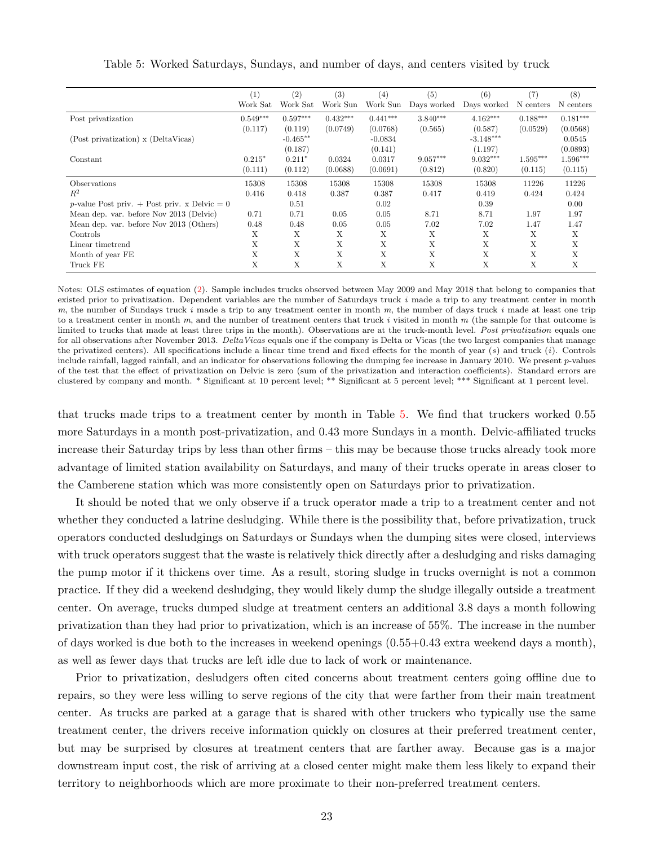<span id="page-23-0"></span>

|                                                      | (1)        | (2)         | (3)        | (4)        | (5)         | (6)         | (7)        | (8)        |
|------------------------------------------------------|------------|-------------|------------|------------|-------------|-------------|------------|------------|
|                                                      | Work Sat   | Work Sat    | Work Sun   | Work Sun   | Days worked | Days worked | N centers  | N centers  |
| Post privatization                                   | $0.549***$ | $0.597***$  | $0.432***$ | $0.441***$ | $3.840***$  | $4.162***$  | $0.188***$ | $0.181***$ |
|                                                      | (0.117)    | (0.119)     | (0.0749)   | (0.0768)   | (0.565)     | (0.587)     | (0.0529)   | (0.0568)   |
| (Post privatization) x (DeltaVicas)                  |            | $-0.465***$ |            | $-0.0834$  |             | $-3.148***$ |            | 0.0545     |
|                                                      |            | (0.187)     |            | (0.141)    |             | (1.197)     |            | (0.0893)   |
| Constant                                             | $0.215*$   | $0.211*$    | 0.0324     | 0.0317     | $9.057***$  | $9.032***$  | $1.595***$ | $1.596***$ |
|                                                      | (0.111)    | (0.112)     | (0.0688)   | (0.0691)   | (0.812)     | (0.820)     | (0.115)    | (0.115)    |
| Observations                                         | 15308      | 15308       | 15308      | 15308      | 15308       | 15308       | 11226      | 11226      |
| $R^2$                                                | 0.416      | 0.418       | 0.387      | 0.387      | 0.417       | 0.419       | 0.424      | 0.424      |
| <i>p</i> -value Post priv. + Post priv. x Delvic = 0 |            | 0.51        |            | 0.02       |             | 0.39        |            | 0.00       |
| Mean dep. var. before Nov 2013 (Delvic)              | 0.71       | 0.71        | 0.05       | 0.05       | 8.71        | 8.71        | 1.97       | 1.97       |
| Mean dep. var. before Nov 2013 (Others)              | 0.48       | 0.48        | 0.05       | 0.05       | 7.02        | 7.02        | 1.47       | 1.47       |
| Controls                                             | Χ          | X           | Χ          | X          | X           | X           | X          | X          |
| Linear timetrend                                     | Χ          | Χ           | Χ          | X          | X           | X           | X          | Χ          |
| Month of year FE                                     | X          | X           | X          | X          | X           | X           | X          | X          |
| Truck FE                                             | X          | X           | X          | X          | X           | X           | Χ          | Χ          |

Table 5: Worked Saturdays, Sundays, and number of days, and centers visited by truck

Notes: OLS estimates of equation [\(2\)](#page-19-1). Sample includes trucks observed between May 2009 and May 2018 that belong to companies that existed prior to privatization. Dependent variables are the number of Saturdays truck  $i$  made a trip to any treatment center in month  $m$ , the number of Sundays truck i made a trip to any treatment center in month  $m$ , the number of days truck i made at least one trip to a treatment center in month  $m$ , and the number of treatment centers that truck i visited in month  $m$  (the sample for that outcome is limited to trucks that made at least three trips in the month). Observations are at the truck-month level. Post privatization equals one for all observations after November 2013. Delta Vicas equals one if the company is Delta or Vicas (the two largest companies that manage the privatized centers). All specifications include a linear time trend and fixed effects for the month of year  $(s)$  and truck  $(i)$ . Controls include rainfall, lagged rainfall, and an indicator for observations following the dumping fee increase in January 2010. We present  $p$ -values of the test that the effect of privatization on Delvic is zero (sum of the privatization and interaction coefficients). Standard errors are clustered by company and month. \* Significant at 10 percent level; \*\* Significant at 5 percent level; \*\*\* Significant at 1 percent level.

that trucks made trips to a treatment center by month in Table [5.](#page-23-0) We find that truckers worked 0.55 more Saturdays in a month post-privatization, and 0.43 more Sundays in a month. Delvic-affiliated trucks increase their Saturday trips by less than other firms – this may be because those trucks already took more advantage of limited station availability on Saturdays, and many of their trucks operate in areas closer to the Camberene station which was more consistently open on Saturdays prior to privatization.

It should be noted that we only observe if a truck operator made a trip to a treatment center and not whether they conducted a latrine desludging. While there is the possibility that, before privatization, truck operators conducted desludgings on Saturdays or Sundays when the dumping sites were closed, interviews with truck operators suggest that the waste is relatively thick directly after a desludging and risks damaging the pump motor if it thickens over time. As a result, storing sludge in trucks overnight is not a common practice. If they did a weekend desludging, they would likely dump the sludge illegally outside a treatment center. On average, trucks dumped sludge at treatment centers an additional 3.8 days a month following privatization than they had prior to privatization, which is an increase of 55%. The increase in the number of days worked is due both to the increases in weekend openings  $(0.55+0.43 \text{ extra weekend days a month})$ , as well as fewer days that trucks are left idle due to lack of work or maintenance.

Prior to privatization, desludgers often cited concerns about treatment centers going offline due to repairs, so they were less willing to serve regions of the city that were farther from their main treatment center. As trucks are parked at a garage that is shared with other truckers who typically use the same treatment center, the drivers receive information quickly on closures at their preferred treatment center, but may be surprised by closures at treatment centers that are farther away. Because gas is a major downstream input cost, the risk of arriving at a closed center might make them less likely to expand their territory to neighborhoods which are more proximate to their non-preferred treatment centers.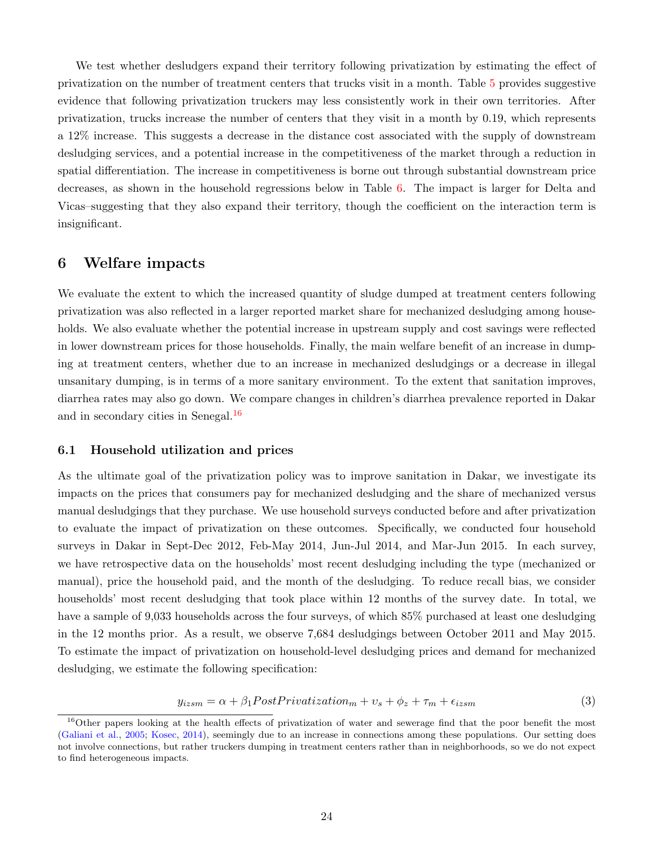We test whether desludgers expand their territory following privatization by estimating the effect of privatization on the number of treatment centers that trucks visit in a month. Table [5](#page-23-0) provides suggestive evidence that following privatization truckers may less consistently work in their own territories. After privatization, trucks increase the number of centers that they visit in a month by 0.19, which represents a 12% increase. This suggests a decrease in the distance cost associated with the supply of downstream desludging services, and a potential increase in the competitiveness of the market through a reduction in spatial differentiation. The increase in competitiveness is borne out through substantial downstream price decreases, as shown in the household regressions below in Table [6.](#page-25-0) The impact is larger for Delta and Vicas–suggesting that they also expand their territory, though the coefficient on the interaction term is insignificant.

## 6 Welfare impacts

We evaluate the extent to which the increased quantity of sludge dumped at treatment centers following privatization was also reflected in a larger reported market share for mechanized desludging among households. We also evaluate whether the potential increase in upstream supply and cost savings were reflected in lower downstream prices for those households. Finally, the main welfare benefit of an increase in dumping at treatment centers, whether due to an increase in mechanized desludgings or a decrease in illegal unsanitary dumping, is in terms of a more sanitary environment. To the extent that sanitation improves, diarrhea rates may also go down. We compare changes in children's diarrhea prevalence reported in Dakar and in secondary cities in Senegal.<sup>[16](#page-24-0)</sup>

#### 6.1 Household utilization and prices

As the ultimate goal of the privatization policy was to improve sanitation in Dakar, we investigate its impacts on the prices that consumers pay for mechanized desludging and the share of mechanized versus manual desludgings that they purchase. We use household surveys conducted before and after privatization to evaluate the impact of privatization on these outcomes. Specifically, we conducted four household surveys in Dakar in Sept-Dec 2012, Feb-May 2014, Jun-Jul 2014, and Mar-Jun 2015. In each survey, we have retrospective data on the households' most recent desludging including the type (mechanized or manual), price the household paid, and the month of the desludging. To reduce recall bias, we consider households' most recent desludging that took place within 12 months of the survey date. In total, we have a sample of 9,033 households across the four surveys, of which 85% purchased at least one desludging in the 12 months prior. As a result, we observe 7,684 desludgings between October 2011 and May 2015. To estimate the impact of privatization on household-level desludging prices and demand for mechanized desludging, we estimate the following specification:

<span id="page-24-1"></span>
$$
y_{izsm} = \alpha + \beta_1 PostPrivateization_m + v_s + \phi_z + \tau_m + \epsilon_{izsm}
$$
\n(3)

<span id="page-24-0"></span><sup>&</sup>lt;sup>16</sup>Other papers looking at the health effects of privatization of water and sewerage find that the poor benefit the most [\(Galiani et al.,](#page-29-9) [2005;](#page-29-9) [Kosec,](#page-30-7) [2014\)](#page-30-7), seemingly due to an increase in connections among these populations. Our setting does not involve connections, but rather truckers dumping in treatment centers rather than in neighborhoods, so we do not expect to find heterogeneous impacts.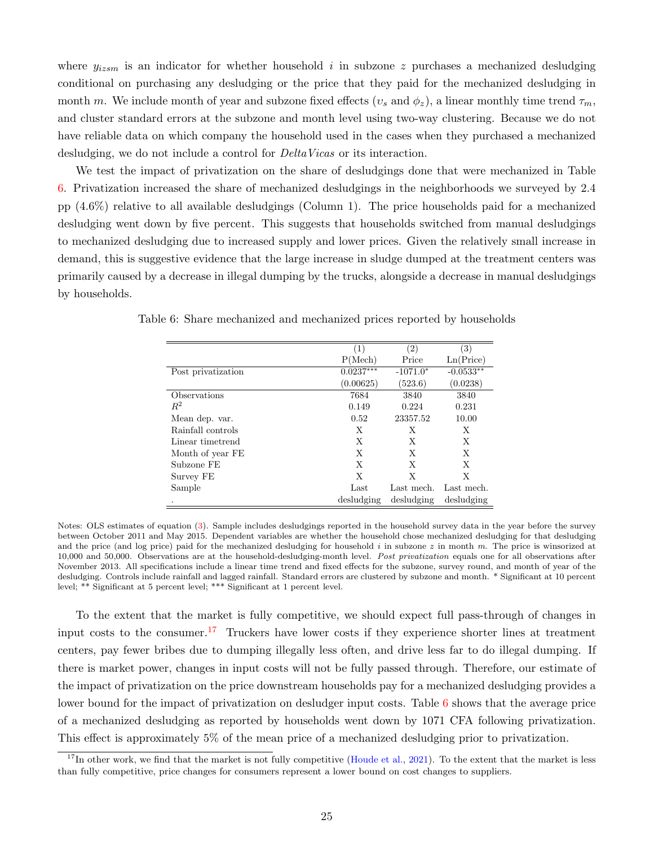where  $y_{izsm}$  is an indicator for whether household i in subzone z purchases a mechanized desludging conditional on purchasing any desludging or the price that they paid for the mechanized desludging in month m. We include month of year and subzone fixed effects  $(v_s \text{ and } \phi_z)$ , a linear monthly time trend  $\tau_m$ , and cluster standard errors at the subzone and month level using two-way clustering. Because we do not have reliable data on which company the household used in the cases when they purchased a mechanized desludging, we do not include a control for *Delta Vicas* or its interaction.

We test the impact of privatization on the share of desludgings done that were mechanized in Table [6.](#page-25-0) Privatization increased the share of mechanized desludgings in the neighborhoods we surveyed by 2.4 pp (4.6%) relative to all available desludgings (Column 1). The price households paid for a mechanized desludging went down by five percent. This suggests that households switched from manual desludgings to mechanized desludging due to increased supply and lower prices. Given the relatively small increase in demand, this is suggestive evidence that the large increase in sludge dumped at the treatment centers was primarily caused by a decrease in illegal dumping by the trucks, alongside a decrease in manual desludgings by households.

|                    | $\left(1\right)$ | $\left( 2\right)$ | $\left( 3\right)$ |
|--------------------|------------------|-------------------|-------------------|
|                    | P(Mech)          | Price             | Ln(Price)         |
| Post privatization | $0.0237***$      | $-1071.0*$        | $-0.0533**$       |
|                    | (0.00625)        | (523.6)           | (0.0238)          |
| Observations       | 7684             | 3840              | 3840              |
| $R^2$              | 0.149            | 0.224             | 0.231             |
| Mean dep. var.     | 0.52             | 23357.52          | 10.00             |
| Rainfall controls  | X                | X                 | X                 |
| Linear timetrend   | X                | X                 | X                 |
| Month of year FE   | X                | X                 | X                 |
| Subzone FE         | X                | X                 | X                 |
| Survey FE          | X                | X                 | X                 |
| Sample             | Last             | Last mech.        | Last mech.        |
|                    | desludging       | desludging        | desludging        |

<span id="page-25-0"></span>Table 6: Share mechanized and mechanized prices reported by households

To the extent that the market is fully competitive, we should expect full pass-through of changes in input costs to the consumer.[17](#page-25-1) Truckers have lower costs if they experience shorter lines at treatment centers, pay fewer bribes due to dumping illegally less often, and drive less far to do illegal dumping. If there is market power, changes in input costs will not be fully passed through. Therefore, our estimate of the impact of privatization on the price downstream households pay for a mechanized desludging provides a lower bound for the impact of privatization on desludger input costs. Table [6](#page-25-0) shows that the average price of a mechanized desludging as reported by households went down by 1071 CFA following privatization. This effect is approximately 5% of the mean price of a mechanized desludging prior to privatization.

Notes: OLS estimates of equation [\(3\)](#page-24-1). Sample includes desludgings reported in the household survey data in the year before the survey between October 2011 and May 2015. Dependent variables are whether the household chose mechanized desludging for that desludging and the price (and log price) paid for the mechanized desludging for household  $i$  in subzone  $z$  in month  $m$ . The price is winsorized at 10,000 and 50,000. Observations are at the household-desludging-month level. Post privatization equals one for all observations after November 2013. All specifications include a linear time trend and fixed effects for the subzone, survey round, and month of year of the desludging. Controls include rainfall and lagged rainfall. Standard errors are clustered by subzone and month. \* Significant at 10 percent level; \*\* Significant at 5 percent level; \*\*\* Significant at 1 percent level.

<span id="page-25-1"></span> $17$ In other work, we find that the market is not fully competitive [\(Houde et al.,](#page-30-15) [2021\)](#page-30-15). To the extent that the market is less than fully competitive, price changes for consumers represent a lower bound on cost changes to suppliers.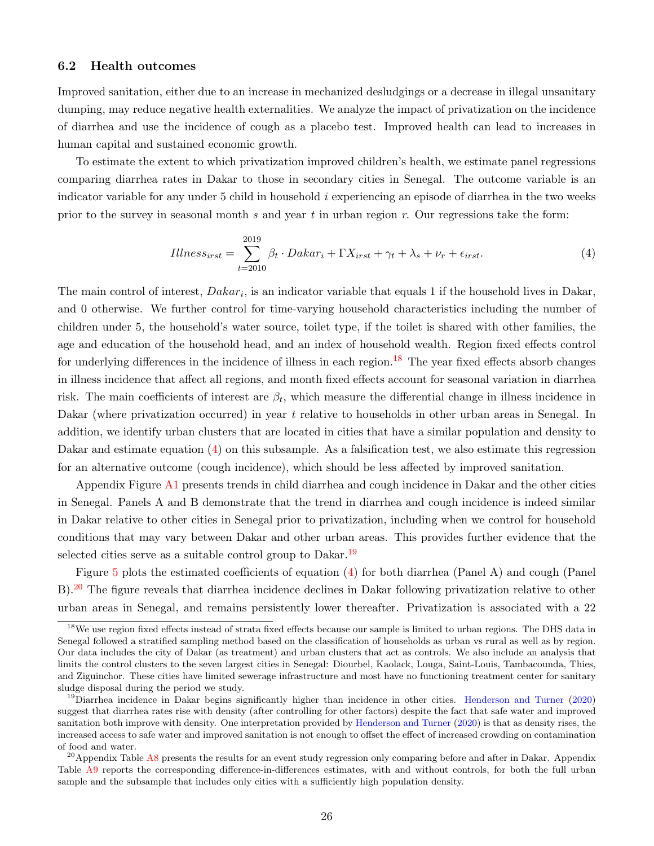#### 6.2 Health outcomes

Improved sanitation, either due to an increase in mechanized desludgings or a decrease in illegal unsanitary dumping, may reduce negative health externalities. We analyze the impact of privatization on the incidence of diarrhea and use the incidence of cough as a placebo test. Improved health can lead to increases in human capital and sustained economic growth.

To estimate the extent to which privatization improved children's health, we estimate panel regressions comparing diarrhea rates in Dakar to those in secondary cities in Senegal. The outcome variable is an indicator variable for any under 5 child in household i experiencing an episode of diarrhea in the two weeks prior to the survey in seasonal month  $s$  and year  $t$  in urban region  $r$ . Our regressions take the form:

<span id="page-26-1"></span>
$$
Illness_{irst} = \sum_{t=2010}^{2019} \beta_t \cdot Dakar_i + \Gamma X_{irst} + \gamma_t + \lambda_s + \nu_r + \epsilon_{irst}.
$$
 (4)

The main control of interest,  $Dakar_i$ , is an indicator variable that equals 1 if the household lives in Dakar, and 0 otherwise. We further control for time-varying household characteristics including the number of children under 5, the household's water source, toilet type, if the toilet is shared with other families, the age and education of the household head, and an index of household wealth. Region fixed effects control for underlying differences in the incidence of illness in each region.<sup>[18](#page-26-0)</sup> The year fixed effects absorb changes in illness incidence that affect all regions, and month fixed effects account for seasonal variation in diarrhea risk. The main coefficients of interest are  $\beta_t$ , which measure the differential change in illness incidence in Dakar (where privatization occurred) in year t relative to households in other urban areas in Senegal. In addition, we identify urban clusters that are located in cities that have a similar population and density to Dakar and estimate equation [\(4\)](#page-26-1) on this subsample. As a falsification test, we also estimate this regression for an alternative outcome (cough incidence), which should be less affected by improved sanitation.

Appendix Figure [A1](#page-37-0) presents trends in child diarrhea and cough incidence in Dakar and the other cities in Senegal. Panels A and B demonstrate that the trend in diarrhea and cough incidence is indeed similar in Dakar relative to other cities in Senegal prior to privatization, including when we control for household conditions that may vary between Dakar and other urban areas. This provides further evidence that the selected cities serve as a suitable control group to Dakar.<sup>[19](#page-26-2)</sup>

Figure [5](#page-28-0) plots the estimated coefficients of equation [\(4\)](#page-26-1) for both diarrhea (Panel A) and cough (Panel B).[20](#page-26-3) The figure reveals that diarrhea incidence declines in Dakar following privatization relative to other urban areas in Senegal, and remains persistently lower thereafter. Privatization is associated with a 22

<span id="page-26-0"></span> $18$ We use region fixed effects instead of strata fixed effects because our sample is limited to urban regions. The DHS data in Senegal followed a stratified sampling method based on the classification of households as urban vs rural as well as by region. Our data includes the city of Dakar (as treatment) and urban clusters that act as controls. We also include an analysis that limits the control clusters to the seven largest cities in Senegal: Diourbel, Kaolack, Louga, Saint-Louis, Tambacounda, Thies, and Ziguinchor. These cities have limited sewerage infrastructure and most have no functioning treatment center for sanitary sludge disposal during the period we study.

<span id="page-26-2"></span><sup>19</sup>Diarrhea incidence in Dakar begins significantly higher than incidence in other cities. [Henderson and Turner](#page-30-16) [\(2020\)](#page-30-16) suggest that diarrhea rates rise with density (after controlling for other factors) despite the fact that safe water and improved sanitation both improve with density. One interpretation provided by [Henderson and Turner](#page-30-16) [\(2020\)](#page-30-16) is that as density rises, the increased access to safe water and improved sanitation is not enough to offset the effect of increased crowding on contamination of food and water.

<span id="page-26-3"></span><sup>&</sup>lt;sup>20</sup>Appendix Table  $\overline{AB}$  presents the results for an event study regression only comparing before and after in Dakar. Appendix Table [A9](#page-36-1) reports the corresponding difference-in-differences estimates, with and without controls, for both the full urban sample and the subsample that includes only cities with a sufficiently high population density.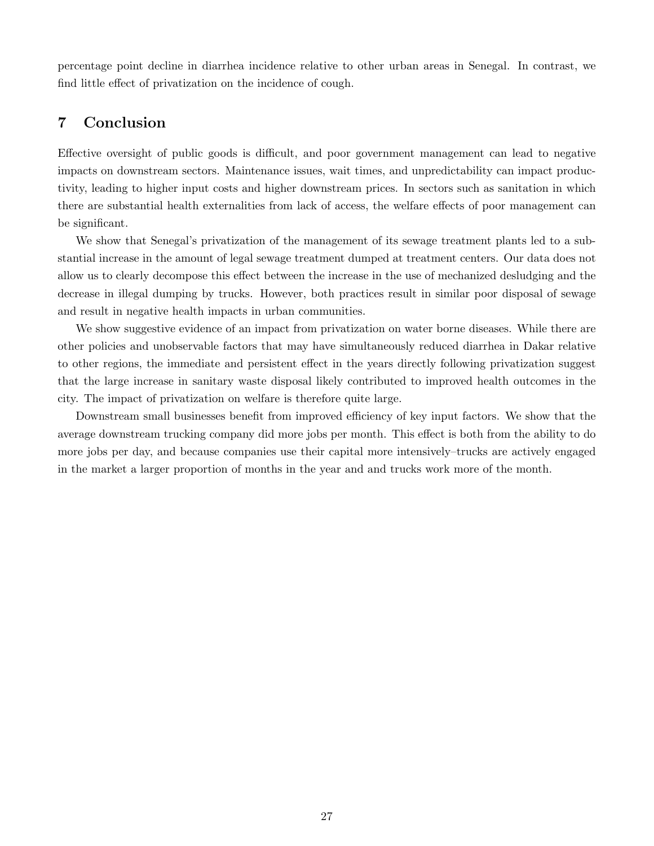percentage point decline in diarrhea incidence relative to other urban areas in Senegal. In contrast, we find little effect of privatization on the incidence of cough.

## 7 Conclusion

Effective oversight of public goods is difficult, and poor government management can lead to negative impacts on downstream sectors. Maintenance issues, wait times, and unpredictability can impact productivity, leading to higher input costs and higher downstream prices. In sectors such as sanitation in which there are substantial health externalities from lack of access, the welfare effects of poor management can be significant.

We show that Senegal's privatization of the management of its sewage treatment plants led to a substantial increase in the amount of legal sewage treatment dumped at treatment centers. Our data does not allow us to clearly decompose this effect between the increase in the use of mechanized desludging and the decrease in illegal dumping by trucks. However, both practices result in similar poor disposal of sewage and result in negative health impacts in urban communities.

We show suggestive evidence of an impact from privatization on water borne diseases. While there are other policies and unobservable factors that may have simultaneously reduced diarrhea in Dakar relative to other regions, the immediate and persistent effect in the years directly following privatization suggest that the large increase in sanitary waste disposal likely contributed to improved health outcomes in the city. The impact of privatization on welfare is therefore quite large.

Downstream small businesses benefit from improved efficiency of key input factors. We show that the average downstream trucking company did more jobs per month. This effect is both from the ability to do more jobs per day, and because companies use their capital more intensively–trucks are actively engaged in the market a larger proportion of months in the year and and trucks work more of the month.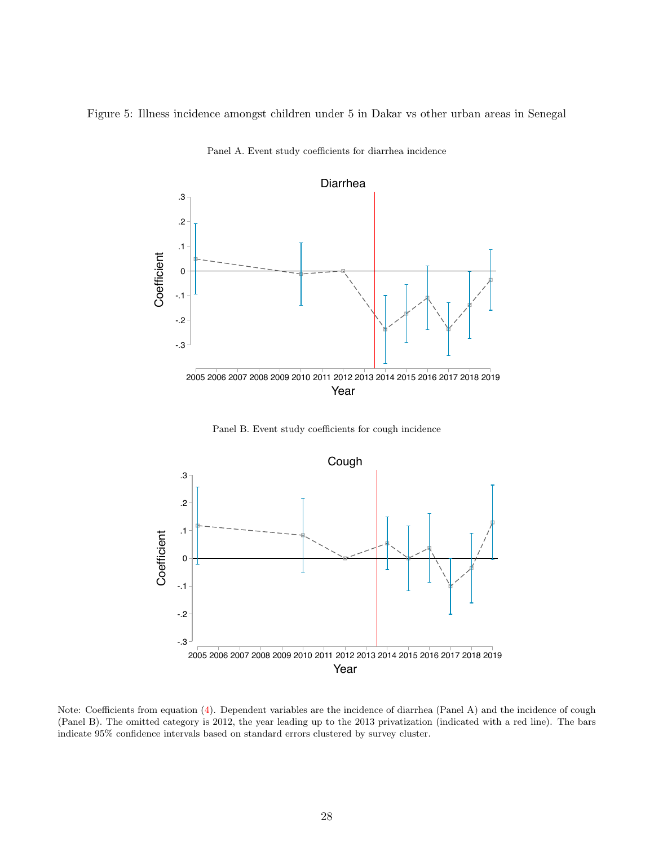<span id="page-28-0"></span>Figure 5: Illness incidence amongst children under 5 in Dakar vs other urban areas in Senegal



Panel A. Event study coefficients for diarrhea incidence





Note: Coefficients from equation [\(4\)](#page-26-1). Dependent variables are the incidence of diarrhea (Panel A) and the incidence of cough (Panel B). The omitted category is 2012, the year leading up to the 2013 privatization (indicated with a red line). The bars indicate 95% confidence intervals based on standard errors clustered by survey cluster.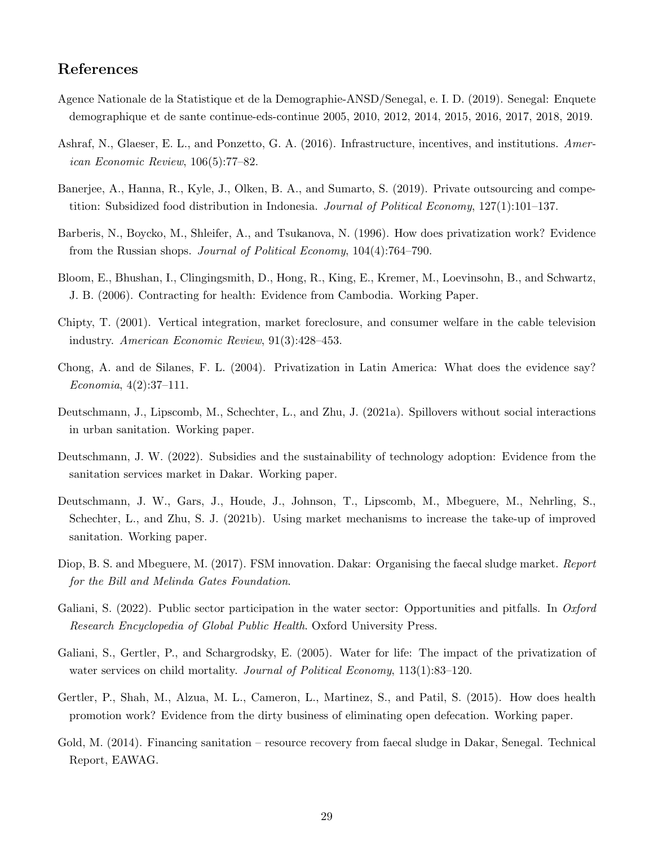## References

- <span id="page-29-14"></span>Agence Nationale de la Statistique et de la Demographie-ANSD/Senegal, e. I. D. (2019). Senegal: Enquete demographique et de sante continue-eds-continue 2005, 2010, 2012, 2014, 2015, 2016, 2017, 2018, 2019.
- <span id="page-29-3"></span>Ashraf, N., Glaeser, E. L., and Ponzetto, G. A. (2016). Infrastructure, incentives, and institutions. American Economic Review, 106(5):77–82.
- <span id="page-29-7"></span>Banerjee, A., Hanna, R., Kyle, J., Olken, B. A., and Sumarto, S. (2019). Private outsourcing and competition: Subsidized food distribution in Indonesia. Journal of Political Economy, 127(1):101–137.
- <span id="page-29-4"></span>Barberis, N., Boycko, M., Shleifer, A., and Tsukanova, N. (1996). How does privatization work? Evidence from the Russian shops. Journal of Political Economy, 104(4):764–790.
- <span id="page-29-8"></span>Bloom, E., Bhushan, I., Clingingsmith, D., Hong, R., King, E., Kremer, M., Loevinsohn, B., and Schwartz, J. B. (2006). Contracting for health: Evidence from Cambodia. Working Paper.
- <span id="page-29-2"></span>Chipty, T. (2001). Vertical integration, market foreclosure, and consumer welfare in the cable television industry. American Economic Review, 91(3):428–453.
- <span id="page-29-1"></span>Chong, A. and de Silanes, F. L. (2004). Privatization in Latin America: What does the evidence say? Economia, 4(2):37–111.
- <span id="page-29-5"></span>Deutschmann, J., Lipscomb, M., Schechter, L., and Zhu, J. (2021a). Spillovers without social interactions in urban sanitation. Working paper.
- <span id="page-29-13"></span>Deutschmann, J. W. (2022). Subsidies and the sustainability of technology adoption: Evidence from the sanitation services market in Dakar. Working paper.
- <span id="page-29-12"></span>Deutschmann, J. W., Gars, J., Houde, J., Johnson, T., Lipscomb, M., Mbeguere, M., Nehrling, S., Schechter, L., and Zhu, S. J. (2021b). Using market mechanisms to increase the take-up of improved sanitation. Working paper.
- <span id="page-29-11"></span>Diop, B. S. and Mbeguere, M. (2017). FSM innovation. Dakar: Organising the faecal sludge market. Report for the Bill and Melinda Gates Foundation.
- <span id="page-29-0"></span>Galiani, S. (2022). Public sector participation in the water sector: Opportunities and pitfalls. In Oxford Research Encyclopedia of Global Public Health. Oxford University Press.
- <span id="page-29-9"></span>Galiani, S., Gertler, P., and Schargrodsky, E. (2005). Water for life: The impact of the privatization of water services on child mortality. Journal of Political Economy, 113(1):83–120.
- <span id="page-29-6"></span>Gertler, P., Shah, M., Alzua, M. L., Cameron, L., Martinez, S., and Patil, S. (2015). How does health promotion work? Evidence from the dirty business of eliminating open defecation. Working paper.
- <span id="page-29-10"></span>Gold, M. (2014). Financing sanitation – resource recovery from faecal sludge in Dakar, Senegal. Technical Report, EAWAG.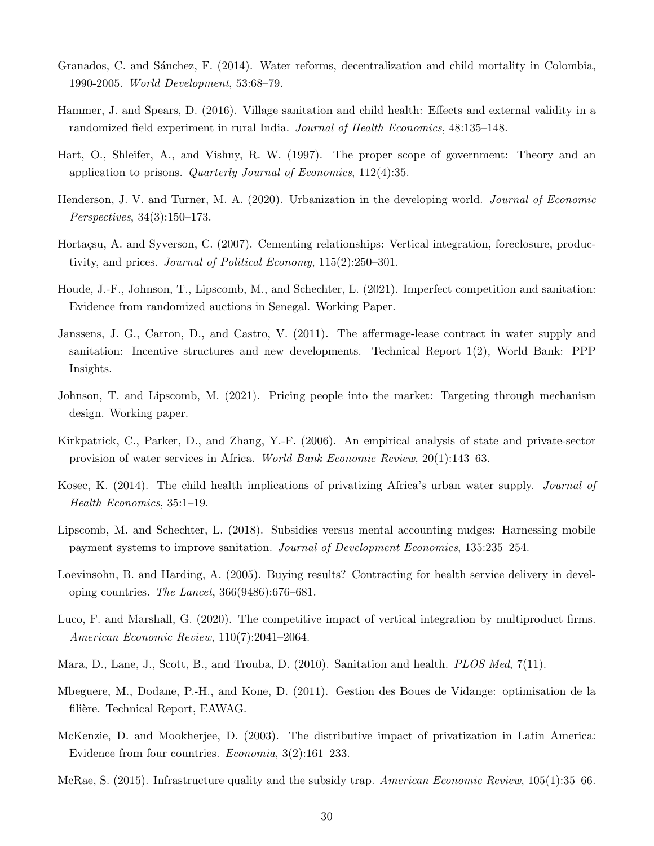- <span id="page-30-5"></span>Granados, C. and Sánchez, F. (2014). Water reforms, decentralization and child mortality in Colombia, 1990-2005. World Development, 53:68–79.
- <span id="page-30-8"></span>Hammer, J. and Spears, D. (2016). Village sanitation and child health: Effects and external validity in a randomized field experiment in rural India. Journal of Health Economics, 48:135–148.
- <span id="page-30-0"></span>Hart, O., Shleifer, A., and Vishny, R. W. (1997). The proper scope of government: Theory and an application to prisons. Quarterly Journal of Economics, 112(4):35.
- <span id="page-30-16"></span>Henderson, J. V. and Turner, M. A. (2020). Urbanization in the developing world. Journal of Economic Perspectives, 34(3):150–173.
- <span id="page-30-2"></span>Hortaçsu, A. and Syverson, C. (2007). Cementing relationships: Vertical integration, foreclosure, productivity, and prices. Journal of Political Economy, 115(2):250–301.
- <span id="page-30-15"></span>Houde, J.-F., Johnson, T., Lipscomb, M., and Schechter, L. (2021). Imperfect competition and sanitation: Evidence from randomized auctions in Senegal. Working Paper.
- <span id="page-30-13"></span>Janssens, J. G., Carron, D., and Castro, V. (2011). The affermage-lease contract in water supply and sanitation: Incentive structures and new developments. Technical Report 1(2), World Bank: PPP Insights.
- <span id="page-30-9"></span>Johnson, T. and Lipscomb, M. (2021). Pricing people into the market: Targeting through mechanism design. Working paper.
- <span id="page-30-6"></span>Kirkpatrick, C., Parker, D., and Zhang, Y.-F. (2006). An empirical analysis of state and private-sector provision of water services in Africa. World Bank Economic Review, 20(1):143–63.
- <span id="page-30-7"></span>Kosec, K. (2014). The child health implications of privatizing Africa's urban water supply. *Journal of* Health Economics, 35:1–19.
- <span id="page-30-14"></span>Lipscomb, M. and Schechter, L. (2018). Subsidies versus mental accounting nudges: Harnessing mobile payment systems to improve sanitation. Journal of Development Economics, 135:235–254.
- <span id="page-30-10"></span>Loevinsohn, B. and Harding, A. (2005). Buying results? Contracting for health service delivery in developing countries. The Lancet, 366(9486):676–681.
- <span id="page-30-1"></span>Luco, F. and Marshall, G. (2020). The competitive impact of vertical integration by multiproduct firms. American Economic Review, 110(7):2041–2064.
- <span id="page-30-11"></span>Mara, D., Lane, J., Scott, B., and Trouba, D. (2010). Sanitation and health. *PLOS Med*, 7(11).
- <span id="page-30-12"></span>Mbeguere, M., Dodane, P.-H., and Kone, D. (2011). Gestion des Boues de Vidange: optimisation de la filière. Technical Report, EAWAG.
- <span id="page-30-3"></span>McKenzie, D. and Mookherjee, D. (2003). The distributive impact of privatization in Latin America: Evidence from four countries. Economia, 3(2):161–233.
- <span id="page-30-4"></span>McRae, S. (2015). Infrastructure quality and the subsidy trap. American Economic Review, 105(1):35–66.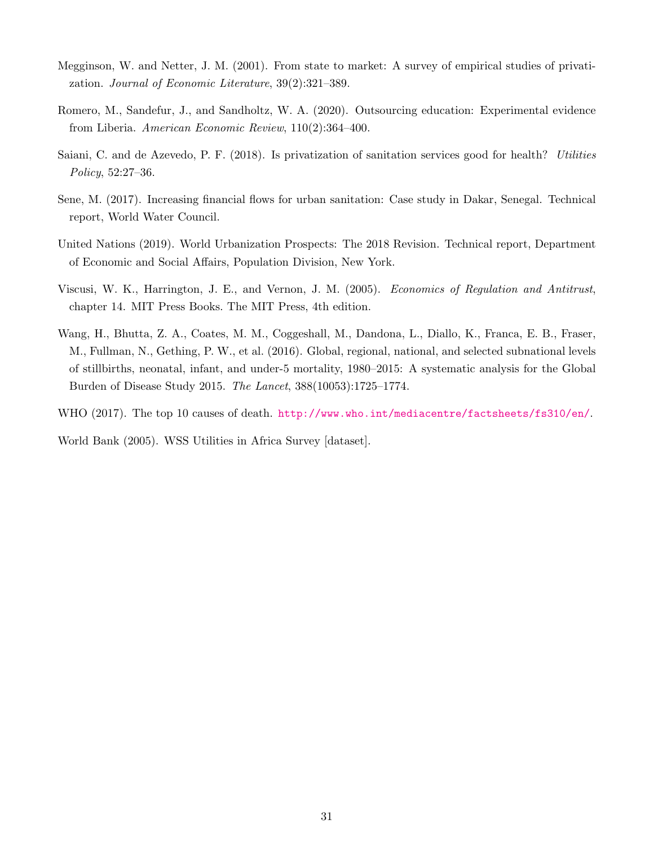- <span id="page-31-0"></span>Megginson, W. and Netter, J. M. (2001). From state to market: A survey of empirical studies of privatization. Journal of Economic Literature, 39(2):321–389.
- <span id="page-31-6"></span>Romero, M., Sandefur, J., and Sandholtz, W. A. (2020). Outsourcing education: Experimental evidence from Liberia. American Economic Review, 110(2):364–400.
- <span id="page-31-2"></span>Saiani, C. and de Azevedo, P. F. (2018). Is privatization of sanitation services good for health? Utilities Policy, 52:27–36.
- <span id="page-31-1"></span>Sene, M. (2017). Increasing financial flows for urban sanitation: Case study in Dakar, Senegal. Technical report, World Water Council.
- <span id="page-31-5"></span>United Nations (2019). World Urbanization Prospects: The 2018 Revision. Technical report, Department of Economic and Social Affairs, Population Division, New York.
- <span id="page-31-8"></span>Viscusi, W. K., Harrington, J. E., and Vernon, J. M. (2005). Economics of Regulation and Antitrust, chapter 14. MIT Press Books. The MIT Press, 4th edition.
- <span id="page-31-4"></span>Wang, H., Bhutta, Z. A., Coates, M. M., Coggeshall, M., Dandona, L., Diallo, K., Franca, E. B., Fraser, M., Fullman, N., Gething, P. W., et al. (2016). Global, regional, national, and selected subnational levels of stillbirths, neonatal, infant, and under-5 mortality, 1980–2015: A systematic analysis for the Global Burden of Disease Study 2015. The Lancet, 388(10053):1725–1774.
- <span id="page-31-3"></span>WHO (2017). The top 10 causes of death. <http://www.who.int/mediacentre/factsheets/fs310/en/>.

<span id="page-31-7"></span>World Bank (2005). WSS Utilities in Africa Survey [dataset].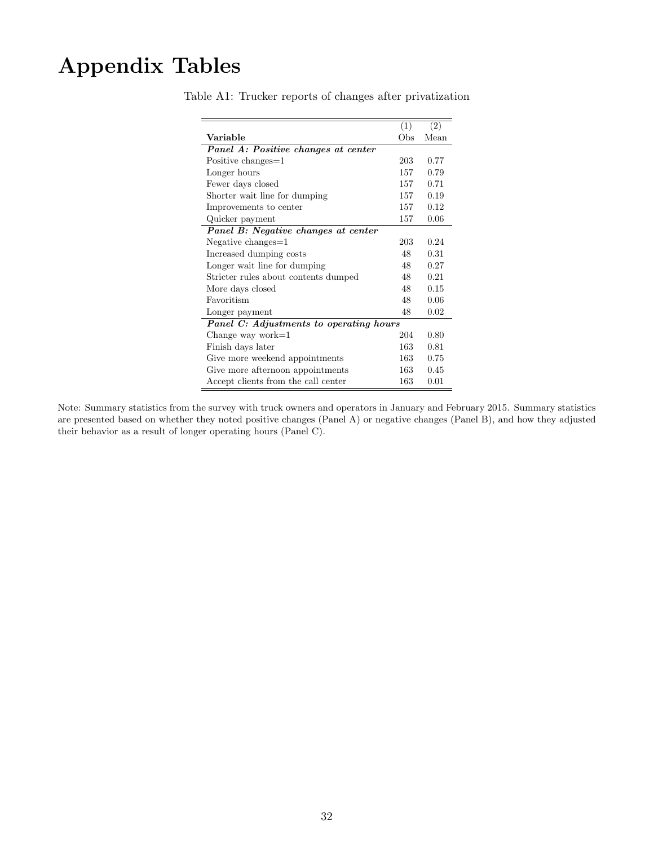# <span id="page-32-0"></span>Appendix Tables

| (1)                                     | (2)  |
|-----------------------------------------|------|
| Obs                                     | Mean |
|                                         |      |
| 203                                     | 0.77 |
| 157                                     | 0.79 |
| 157                                     | 0.71 |
|                                         | 0.19 |
| 157                                     | 0.12 |
| 157                                     | 0.06 |
|                                         |      |
| 203                                     | 0.24 |
| 48                                      | 0.31 |
| 48                                      | 0.27 |
| 48                                      | 0.21 |
| 48                                      | 0.15 |
| 48                                      | 0.06 |
| 48                                      | 0.02 |
| Panel C: Adjustments to operating hours |      |
| 204                                     | 0.80 |
| 163                                     | 0.81 |
| 163                                     | 0.75 |
| 163                                     | 0.45 |
| 163                                     | 0.01 |
|                                         | 157  |

Table A1: Trucker reports of changes after privatization

Note: Summary statistics from the survey with truck owners and operators in January and February 2015. Summary statistics are presented based on whether they noted positive changes (Panel A) or negative changes (Panel B), and how they adjusted their behavior as a result of longer operating hours (Panel C).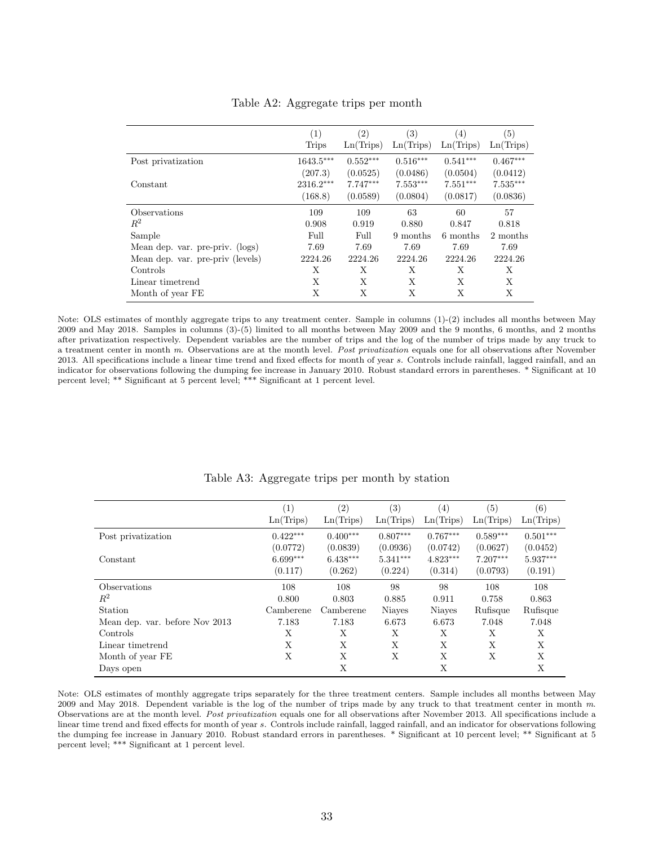<span id="page-33-0"></span>

|                                  | (1)<br><b>Trips</b> | $\left( 2\right)$<br>Ln(Trips) | $\left( 3\right)$<br>Ln(Trips) | $\left( 4\right)$<br>Ln(Trips) | (5)<br>Ln(Trips) |
|----------------------------------|---------------------|--------------------------------|--------------------------------|--------------------------------|------------------|
| Post privatization               | $1643.5***$         | $0.552***$                     | $0.516***$                     | $0.541***$                     | $0.467***$       |
|                                  | (207.3)             | (0.0525)                       | (0.0486)                       | (0.0504)                       | (0.0412)         |
| Constant                         | 2316.2***           | $7.747***$                     | $7.553***$                     | $7.551***$                     | $7.535***$       |
|                                  | (168.8)             | (0.0589)                       | (0.0804)                       | (0.0817)                       | (0.0836)         |
| Observations                     | 109                 | 109                            | 63                             | 60                             | 57               |
| $R^2$                            | 0.908               | 0.919                          | 0.880                          | 0.847                          | 0.818            |
| Sample                           | Full                | Full                           | 9 months                       | 6 months                       | 2 months         |
| Mean dep. var. pre-priv. (logs)  | 7.69                | 7.69                           | 7.69                           | 7.69                           | 7.69             |
| Mean dep. var. pre-priv (levels) | 2224.26             | 2224.26                        | 2224.26                        | 2224.26                        | 2224.26          |
| Controls                         | Х                   | X                              | X                              | X                              | X                |
| Linear timetrend                 | Х                   | X                              | X                              | X                              | X                |
| Month of year FE                 | Х                   | Х                              | X                              | X                              | X                |

Table A2: Aggregate trips per month

Note: OLS estimates of monthly aggregate trips to any treatment center. Sample in columns (1)-(2) includes all months between May 2009 and May 2018. Samples in columns (3)-(5) limited to all months between May 2009 and the 9 months, 6 months, and 2 months after privatization respectively. Dependent variables are the number of trips and the log of the number of trips made by any truck to a treatment center in month m. Observations are at the month level. Post privatization equals one for all observations after November 2013. All specifications include a linear time trend and fixed effects for month of year s. Controls include rainfall, lagged rainfall, and an indicator for observations following the dumping fee increase in January 2010. Robust standard errors in parentheses. \* Significant at 10 percent level; \*\* Significant at 5 percent level; \*\*\* Significant at 1 percent level.

<span id="page-33-1"></span>

|                                | $\left( 1\right)$ | (2)        | $\left( 3\right)$ | (4)           | (5)        | (6)        |
|--------------------------------|-------------------|------------|-------------------|---------------|------------|------------|
|                                | Ln(Trips)         | Ln(Trips)  | Ln(Trips)         | Ln(Trips)     | Ln(Trips)  | Ln(Trips)  |
| Post privatization             | $0.422***$        | $0.400***$ | $0.807***$        | $0.767***$    | $0.589***$ | $0.501***$ |
|                                | (0.0772)          | (0.0839)   | (0.0936)          | (0.0742)      | (0.0627)   | (0.0452)   |
| Constant                       | $6.699***$        | $6.438***$ | $5.341***$        | $4.823***$    | $7.207***$ | 5.937***   |
|                                | (0.117)           | (0.262)    | (0.224)           | (0.314)       | (0.0793)   | (0.191)    |
| Observations                   | 108               | 108        | 98                | 98            | 108        | 108        |
| $R^2$                          | 0.800             | 0.803      | 0.885             | 0.911         | 0.758      | 0.863      |
| Station                        | Camberene         | Camberene  | <b>Niaves</b>     | <b>Niaves</b> | Rufisque   | Rufisque   |
| Mean dep. var. before Nov 2013 | 7.183             | 7.183      | 6.673             | 6.673         | 7.048      | 7.048      |
| Controls                       | Х                 | Х          | X                 | X             | X          | X          |
| Linear timetrend               | X                 | X          | X                 | X             | X          | X          |
| Month of year FE               | X                 | X          | X                 | X             | X          | X          |
| Days open                      |                   | Х          |                   | Χ             |            | X          |

Table A3: Aggregate trips per month by station

Note: OLS estimates of monthly aggregate trips separately for the three treatment centers. Sample includes all months between May 2009 and May 2018. Dependent variable is the log of the number of trips made by any truck to that treatment center in month  $m$ . Observations are at the month level. Post privatization equals one for all observations after November 2013. All specifications include a linear time trend and fixed effects for month of year s. Controls include rainfall, lagged rainfall, and an indicator for observations following the dumping fee increase in January 2010. Robust standard errors in parentheses. \* Significant at 10 percent level; \*\* Significant at 5 percent level; \*\*\* Significant at 1 percent level.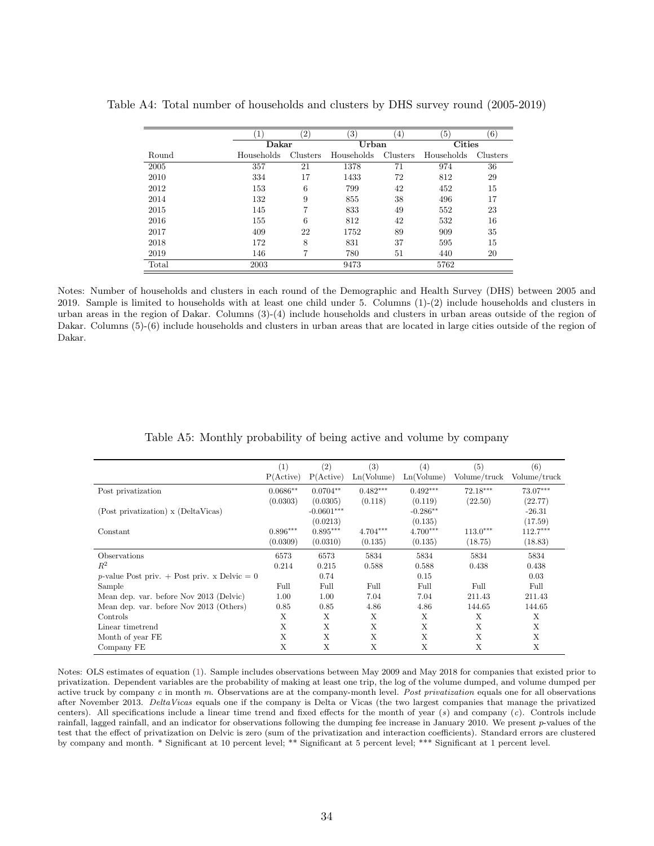|       |            | $^{\prime}2)$ | '3)        | $^{(4)}$ | '5)        | (6)           |  |
|-------|------------|---------------|------------|----------|------------|---------------|--|
|       | Dakar      |               | Urban      |          |            | <b>Cities</b> |  |
| Round | Households | Clusters      | Households | Clusters | Households | Clusters      |  |
| 2005  | 357        | 21            | 1378       | 71       | 974        | 36            |  |
| 2010  | 334        | 17            | 1433       | 72       | 812        | 29            |  |
| 2012  | 153        | 6             | 799        | 42       | 452        | 15            |  |
| 2014  | 132        | 9             | 855        | 38       | 496        | 17            |  |
| 2015  | 145        | 7             | 833        | 49       | 552        | 23            |  |
| 2016  | 155        | 6             | 812        | 42       | 532        | 16            |  |
| 2017  | 409        | 22            | 1752       | 89       | 909        | 35            |  |
| 2018  | 172        | 8             | 831        | 37       | 595        | 15            |  |
| 2019  | 146        |               | 780        | 51       | 440        | 20            |  |
| Total | 2003       |               | 9473       |          | 5762       |               |  |

<span id="page-34-0"></span>Table A4: Total number of households and clusters by DHS survey round (2005-2019)

Notes: Number of households and clusters in each round of the Demographic and Health Survey (DHS) between 2005 and 2019. Sample is limited to households with at least one child under 5. Columns (1)-(2) include households and clusters in urban areas in the region of Dakar. Columns (3)-(4) include households and clusters in urban areas outside of the region of Dakar. Columns (5)-(6) include households and clusters in urban areas that are located in large cities outside of the region of Dakar.

<span id="page-34-1"></span>

|                                                      | $\left( 1\right)$ | (2)          | (3)        | (4)        | (5)          | (6)          |
|------------------------------------------------------|-------------------|--------------|------------|------------|--------------|--------------|
|                                                      | P(Active)         | P(Active)    | Ln(Volume) | Ln(Volume) | Volume/truck | Volume/truck |
| Post privatization                                   | $0.0686**$        | $0.0704**$   | $0.482***$ | $0.492***$ | $72.18***$   | 73.07***     |
|                                                      | (0.0303)          | (0.0305)     | (0.118)    | (0.119)    | (22.50)      | (22.77)      |
| (Post privatization) x (DeltaVicas)                  |                   | $-0.0601***$ |            | $-0.286**$ |              | $-26.31$     |
|                                                      |                   | (0.0213)     |            | (0.135)    |              | (17.59)      |
| Constant                                             | $0.896***$        | $0.895***$   | $4.704***$ | $4.700***$ | $113.0***$   | $112.7***$   |
|                                                      | (0.0309)          | (0.0310)     | (0.135)    | (0.135)    | (18.75)      | (18.83)      |
| Observations                                         | 6573              | 6573         | 5834       | 5834       | 5834         | 5834         |
| $R^2$                                                | 0.214             | 0.215        | 0.588      | 0.588      | 0.438        | 0.438        |
| <i>p</i> -value Post priv. + Post priv. x Delvic = 0 |                   | 0.74         |            | 0.15       |              | 0.03         |
| Sample                                               | Full              | Full         | Full       | Full       | Full         | Full         |
| Mean dep. var. before Nov 2013 (Delvic)              | 1.00              | 1.00         | 7.04       | 7.04       | 211.43       | 211.43       |
| Mean dep. var. before Nov 2013 (Others)              | 0.85              | 0.85         | 4.86       | 4.86       | 144.65       | 144.65       |
| Controls                                             | X                 | X            | X          | X          | X            | X            |
| Linear timetrend                                     | X                 | X            | X          | X          | X            | X            |
| Month of year FE                                     | Χ                 | X            | X          | X          | X            | Χ            |
| Company FE                                           | Х                 | X            | X          | X          | X            | Χ            |

Table A5: Monthly probability of being active and volume by company

Notes: OLS estimates of equation [\(1\)](#page-18-1). Sample includes observations between May 2009 and May 2018 for companies that existed prior to privatization. Dependent variables are the probability of making at least one trip, the log of the volume dumped, and volume dumped per active truck by company  $c$  in month  $m$ . Observations are at the company-month level. Post privatization equals one for all observations after November 2013. DeltaVicas equals one if the company is Delta or Vicas (the two largest companies that manage the privatized centers). All specifications include a linear time trend and fixed effects for the month of year  $(s)$  and company  $(c)$ . Controls include rainfall, lagged rainfall, and an indicator for observations following the dumping fee increase in January 2010. We present p-values of the test that the effect of privatization on Delvic is zero (sum of the privatization and interaction coefficients). Standard errors are clustered by company and month. \* Significant at 10 percent level; \*\* Significant at 5 percent level; \*\*\* Significant at 1 percent level.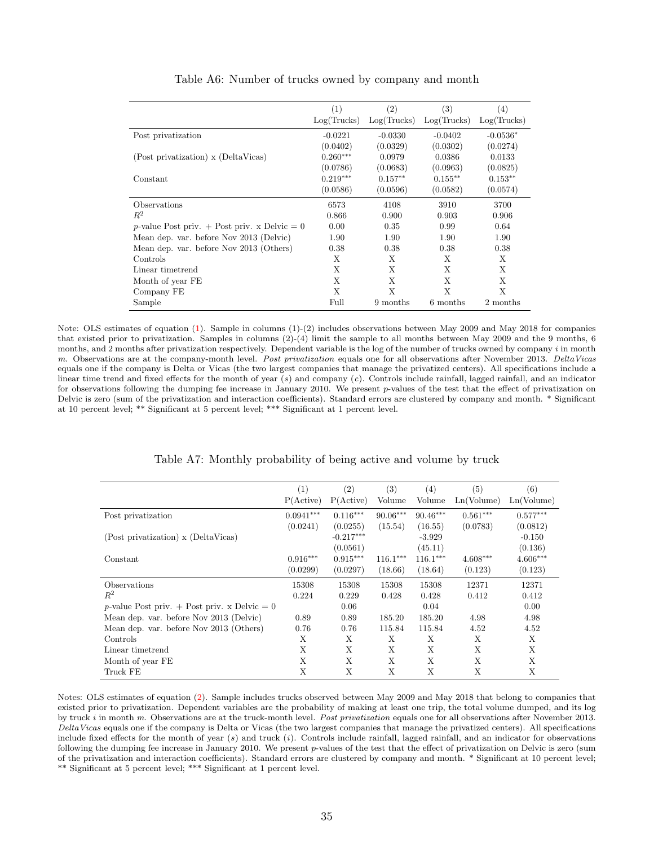<span id="page-35-0"></span>

|                                                      | (1)         | (2)         | (3)         | (4)         |
|------------------------------------------------------|-------------|-------------|-------------|-------------|
|                                                      | Log(Trucks) | Log(Trucks) | Log(Trucks) | Log(Trucks) |
| Post privatization                                   | $-0.0221$   | $-0.0330$   | $-0.0402$   | $-0.0536*$  |
|                                                      | (0.0402)    | (0.0329)    | (0.0302)    | (0.0274)    |
| (Post privatization) x (DeltaVicas)                  | $0.260***$  | 0.0979      | 0.0386      | 0.0133      |
|                                                      | (0.0786)    | (0.0683)    | (0.0963)    | (0.0825)    |
| Constant                                             | $0.219***$  | $0.157**$   | $0.155***$  | $0.153**$   |
|                                                      | (0.0586)    | (0.0596)    | (0.0582)    | (0.0574)    |
| Observations                                         | 6573        | 4108        | 3910        | 3700        |
| $R^2$                                                | 0.866       | 0.900       | 0.903       | 0.906       |
| <i>p</i> -value Post priv. + Post priv. x Delvic = 0 | 0.00        | 0.35        | 0.99        | 0.64        |
| Mean dep. var. before Nov 2013 (Delvic)              | 1.90        | 1.90        | 1.90        | 1.90        |
| Mean dep. var. before Nov 2013 (Others)              | 0.38        | 0.38        | 0.38        | 0.38        |
| Controls                                             | X           | X           | X           | X           |
| Linear timetrend                                     | X           | X           | X           | X           |
| Month of year FE                                     | X           | X           | X           | X           |
| Company FE                                           | X           | X           | X           | X           |
| Sample                                               | Full        | 9 months    | 6 months    | 2 months    |

#### Table A6: Number of trucks owned by company and month

Note: OLS estimates of equation [\(1\)](#page-18-1). Sample in columns (1)-(2) includes observations between May 2009 and May 2018 for companies that existed prior to privatization. Samples in columns (2)-(4) limit the sample to all months between May 2009 and the 9 months, 6 months, and 2 months after privatization respectively. Dependent variable is the log of the number of trucks owned by company  $i$  in month m. Observations are at the company-month level. Post privatization equals one for all observations after November 2013. DeltaVicas equals one if the company is Delta or Vicas (the two largest companies that manage the privatized centers). All specifications include a linear time trend and fixed effects for the month of year  $(s)$  and company  $(c)$ . Controls include rainfall, lagged rainfall, and an indicator for observations following the dumping fee increase in January 2010. We present p-values of the test that the effect of privatization on Delvic is zero (sum of the privatization and interaction coefficients). Standard errors are clustered by company and month. \* Significant at 10 percent level; \*\* Significant at 5 percent level; \*\*\* Significant at 1 percent level.

| Table A7: Monthly probability of being active and volume by truck |  |  |  |
|-------------------------------------------------------------------|--|--|--|
|                                                                   |  |  |  |

<span id="page-35-1"></span>

|                                                      | (1)         | (2)         | (3)        | (4)        | (5)        | (6)        |
|------------------------------------------------------|-------------|-------------|------------|------------|------------|------------|
|                                                      | P(Active)   | P(Active)   | Volume     | Volume     | Ln(Volume) | Ln(Volume) |
| Post privatization                                   | $0.0941***$ | $0.116***$  | $90.06***$ | $90.46***$ | $0.561***$ | $0.577***$ |
|                                                      | (0.0241)    | (0.0255)    | (15.54)    | (16.55)    | (0.0783)   | (0.0812)   |
| (Post privatization) x (DeltaVicas)                  |             | $-0.217***$ |            | $-3.929$   |            | $-0.150$   |
|                                                      |             | (0.0561)    |            | (45.11)    |            | (0.136)    |
| Constant                                             | $0.916***$  | $0.915***$  | $116.1***$ | $116.1***$ | $4.608***$ | $4.606***$ |
|                                                      | (0.0299)    | (0.0297)    | (18.66)    | (18.64)    | (0.123)    | (0.123)    |
| <b>Observations</b>                                  | 15308       | 15308       | 15308      | 15308      | 12371      | 12371      |
| $R^2$                                                | 0.224       | 0.229       | 0.428      | 0.428      | 0.412      | 0.412      |
| <i>p</i> -value Post priv. + Post priv. x Delvic = 0 |             | 0.06        |            | 0.04       |            | 0.00       |
| Mean dep. var. before Nov 2013 (Delvic)              | 0.89        | 0.89        | 185.20     | 185.20     | 4.98       | 4.98       |
| Mean dep. var. before Nov 2013 (Others)              | 0.76        | 0.76        | 115.84     | 115.84     | 4.52       | 4.52       |
| Controls                                             | X           | X           | X          | X          | X          | X          |
| Linear timetrend                                     | X           | X           | X          | X          | X          | X          |
| Month of year FE                                     | X           | X           | X          | X          | X          | X          |
| Truck FE                                             | X           | X           | X          | X          | X          | X          |

Notes: OLS estimates of equation [\(2\)](#page-19-1). Sample includes trucks observed between May 2009 and May 2018 that belong to companies that existed prior to privatization. Dependent variables are the probability of making at least one trip, the total volume dumped, and its log by truck  $i$  in month  $m$ . Observations are at the truck-month level. Post privatization equals one for all observations after November 2013. DeltaVicas equals one if the company is Delta or Vicas (the two largest companies that manage the privatized centers). All specifications include fixed effects for the month of year (s) and truck (i). Controls include rainfall, lagged rainfall, and an indicator for observations following the dumping fee increase in January 2010. We present  $p$ -values of the test that the effect of privatization on Delvic is zero (sum of the privatization and interaction coefficients). Standard errors are clustered by company and month. \* Significant at 10 percent level; \*\* Significant at 5 percent level; \*\*\* Significant at 1 percent level.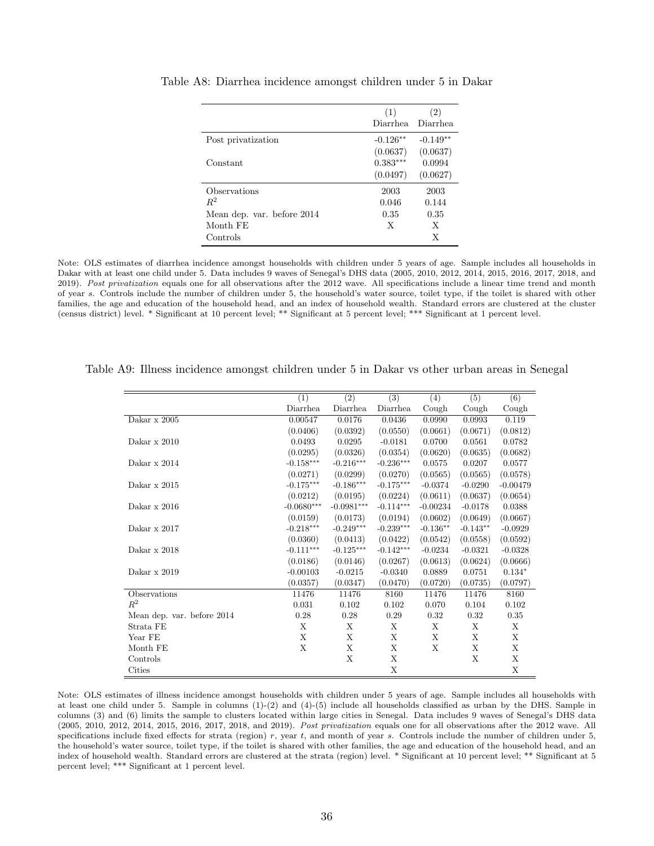|                            | (1)<br>Diarrhea        | (2)<br>Diarrhea    |
|----------------------------|------------------------|--------------------|
|                            |                        |                    |
| Post privatization         | $-0.126**$             | $-0.149**$         |
| Constant                   | (0.0637)<br>$0.383***$ | (0.0637)<br>0.0994 |
|                            | (0.0497)               | (0.0627)           |
| Observations               | 2003                   | 2003               |
| $R^2$                      | 0.046                  | 0.144              |
| Mean dep. var. before 2014 | 0.35                   | 0.35               |
| Month FE                   | X                      | X                  |
| Controls                   |                        | Х                  |

<span id="page-36-0"></span>Table A8: Diarrhea incidence amongst children under 5 in Dakar

Note: OLS estimates of diarrhea incidence amongst households with children under 5 years of age. Sample includes all households in Dakar with at least one child under 5. Data includes 9 waves of Senegal's DHS data (2005, 2010, 2012, 2014, 2015, 2016, 2017, 2018, and 2019). Post privatization equals one for all observations after the 2012 wave. All specifications include a linear time trend and month of year s. Controls include the number of children under 5, the household's water source, toilet type, if the toilet is shared with other families, the age and education of the household head, and an index of household wealth. Standard errors are clustered at the cluster (census district) level. \* Significant at 10 percent level; \*\* Significant at 5 percent level; \*\*\* Significant at 1 percent level.

|                            | (1)          | (2)          | (3)         | (4)        | (5)        | (6)        |
|----------------------------|--------------|--------------|-------------|------------|------------|------------|
|                            | Diarrhea     | Diarrhea     | Diarrhea    | Cough      | Cough      | Cough      |
| Dakar $x$ 2005             | 0.00547      | 0.0176       | 0.0436      | 0.0990     | 0.0993     | 0.119      |
|                            | (0.0406)     | (0.0392)     | (0.0550)    | (0.0661)   | (0.0671)   | (0.0812)   |
| Dakar $x$ 2010             | 0.0493       | 0.0295       | $-0.0181$   | 0.0700     | 0.0561     | 0.0782     |
|                            | (0.0295)     | (0.0326)     | (0.0354)    | (0.0620)   | (0.0635)   | (0.0682)   |
| Dakar x 2014               | $-0.158***$  | $-0.216***$  | $-0.236***$ | 0.0575     | 0.0207     | 0.0577     |
|                            | (0.0271)     | (0.0299)     | (0.0270)    | (0.0565)   | (0.0565)   | (0.0578)   |
| Dakar $x$ 2015             | $-0.175***$  | $-0.186***$  | $-0.175***$ | $-0.0374$  | $-0.0290$  | $-0.00479$ |
|                            | (0.0212)     | (0.0195)     | (0.0224)    | (0.0611)   | (0.0637)   | (0.0654)   |
| Dakar $x$ 2016             | $-0.0680***$ | $-0.0981***$ | $-0.114***$ | $-0.00234$ | $-0.0178$  | 0.0388     |
|                            | (0.0159)     | (0.0173)     | (0.0194)    | (0.0602)   | (0.0649)   | (0.0667)   |
| Dakar x 2017               | $-0.218***$  | $-0.249***$  | $-0.239***$ | $-0.136**$ | $-0.143**$ | $-0.0929$  |
|                            | (0.0360)     | (0.0413)     | (0.0422)    | (0.0542)   | (0.0558)   | (0.0592)   |
| Dakar x 2018               | $-0.111***$  | $-0.125***$  | $-0.142***$ | $-0.0234$  | $-0.0321$  | $-0.0328$  |
|                            | (0.0186)     | (0.0146)     | (0.0267)    | (0.0613)   | (0.0624)   | (0.0666)   |
| Dakar $x$ 2019             | $-0.00103$   | $-0.0215$    | $-0.0340$   | 0.0889     | 0.0751     | $0.134*$   |
|                            | (0.0357)     | (0.0347)     | (0.0470)    | (0.0720)   | (0.0735)   | (0.0797)   |
| Observations               | 11476        | 11476        | 8160        | 11476      | 11476      | 8160       |
| $R^2$                      | 0.031        | 0.102        | 0.102       | 0.070      | 0.104      | 0.102      |
| Mean dep. var. before 2014 | 0.28         | 0.28         | 0.29        | 0.32       | 0.32       | 0.35       |
| Strata FE                  | X            | X            | X           | X          | X          | Χ          |
| Year FE                    | X            | X            | X           | X          | X          | X          |
| Month FE                   | X            | X            | X           | X          | X          | X          |
| Controls                   |              | X            | X           |            | X          | X          |
| Cities                     |              |              | Χ           |            |            | X          |

<span id="page-36-1"></span>Table A9: Illness incidence amongst children under 5 in Dakar vs other urban areas in Senegal

Note: OLS estimates of illness incidence amongst households with children under 5 years of age. Sample includes all households with at least one child under 5. Sample in columns (1)-(2) and (4)-(5) include all households classified as urban by the DHS. Sample in columns (3) and (6) limits the sample to clusters located within large cities in Senegal. Data includes 9 waves of Senegal's DHS data (2005, 2010, 2012, 2014, 2015, 2016, 2017, 2018, and 2019). Post privatization equals one for all observations after the 2012 wave. All specifications include fixed effects for strata (region)  $r$ , year  $t$ , and month of year  $s$ . Controls include the number of children under  $5$ , the household's water source, toilet type, if the toilet is shared with other families, the age and education of the household head, and an index of household wealth. Standard errors are clustered at the strata (region) level. \* Significant at 10 percent level; \*\* Significant at 5 percent level; \*\*\* Significant at 1 percent level.